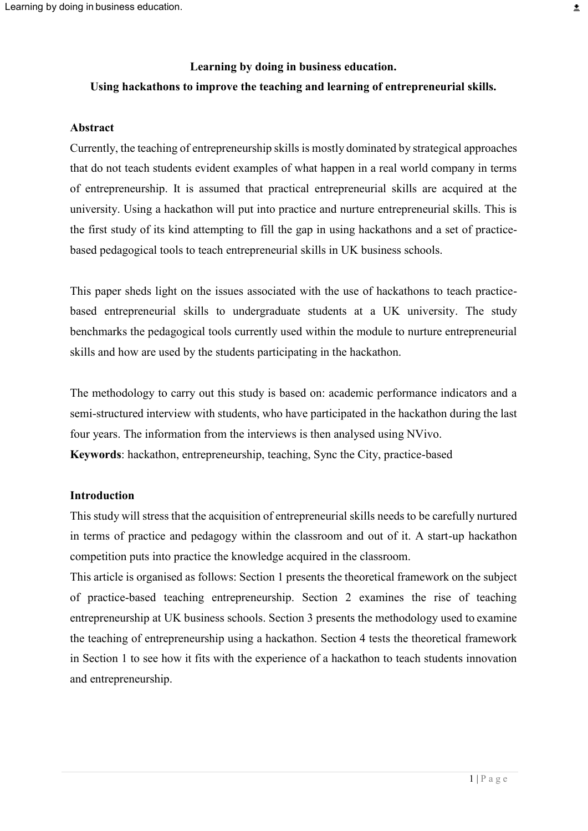#### **Learning by doing in business education.**

# **Using hackathons to improve the teaching and learning of entrepreneurial skills.**

### **Abstract**

Currently, the teaching of entrepreneurship skills is mostly dominated by strategical approaches that do not teach students evident examples of what happen in a real world company in terms of entrepreneurship. It is assumed that practical entrepreneurial skills are acquired at the university. Using a hackathon will put into practice and nurture entrepreneurial skills. This is the first study of its kind attempting to fill the gap in using hackathons and a set of practicebased pedagogical tools to teach entrepreneurial skills in UK business schools.

This paper sheds light on the issues associated with the use of hackathons to teach practicebased entrepreneurial skills to undergraduate students at a UK university. The study benchmarks the pedagogical tools currently used within the module to nurture entrepreneurial skills and how are used by the students participating in the hackathon.

The methodology to carry out this study is based on: academic performance indicators and a semi-structured interview with students, who have participated in the hackathon during the last four years. The information from the interviews is then analysed using NVivo. **Keywords**: hackathon, entrepreneurship, teaching, Sync the City, practice-based

### **Introduction**

This study will stress that the acquisition of entrepreneurial skills needs to be carefully nurtured in terms of practice and pedagogy within the classroom and out of it. A start-up hackathon competition puts into practice the knowledge acquired in the classroom.

This article is organised as follows: Section 1 presents the theoretical framework on the subject of practice-based teaching entrepreneurship. Section 2 examines the rise of teaching entrepreneurship at UK business schools. Section 3 presents the methodology used to examine the teaching of entrepreneurship using a hackathon. Section 4 tests the theoretical framework in Section 1 to see how it fits with the experience of a hackathon to teach students innovation and entrepreneurship.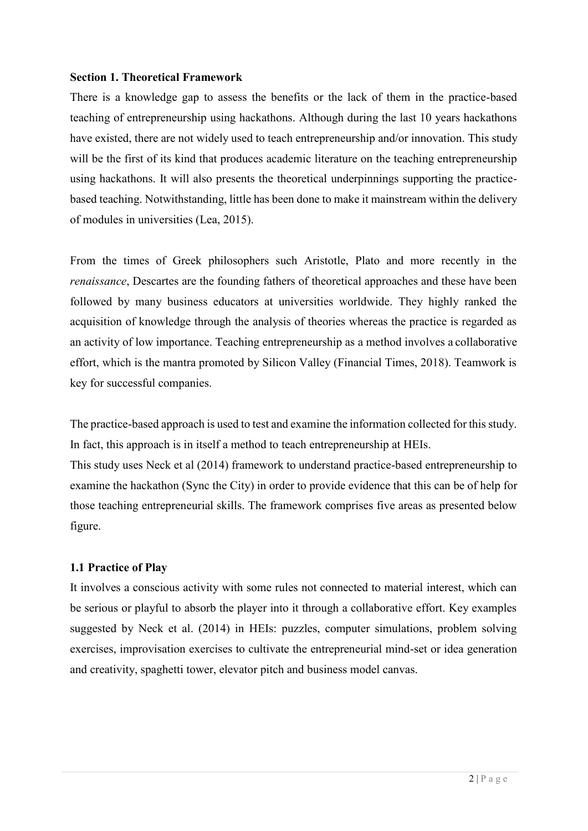### **Section 1. Theoretical Framework**

There is a knowledge gap to assess the benefits or the lack of them in the practice-based teaching of entrepreneurship using hackathons. Although during the last 10 years hackathons have existed, there are not widely used to teach entrepreneurship and/or innovation. This study will be the first of its kind that produces academic literature on the teaching entrepreneurship using hackathons. It will also presents the theoretical underpinnings supporting the practicebased teaching. Notwithstanding, little has been done to make it mainstream within the delivery of modules in universities (Lea, 2015).

From the times of Greek philosophers such Aristotle, Plato and more recently in the *renaissance*, Descartes are the founding fathers of theoretical approaches and these have been followed by many business educators at universities worldwide. They highly ranked the acquisition of knowledge through the analysis of theories whereas the practice is regarded as an activity of low importance. Teaching entrepreneurship as a method involves a collaborative effort, which is the mantra promoted by Silicon Valley (Financial Times, 2018). Teamwork is key for successful companies.

The practice-based approach is used to test and examine the information collected for this study. In fact, this approach is in itself a method to teach entrepreneurship at HEIs.

This study uses Neck et al (2014) framework to understand practice-based entrepreneurship to examine the hackathon (Sync the City) in order to provide evidence that this can be of help for those teaching entrepreneurial skills. The framework comprises five areas as presented below figure.

# **1.1 Practice of Play**

It involves a conscious activity with some rules not connected to material interest, which can be serious or playful to absorb the player into it through a collaborative effort. Key examples suggested by Neck et al. (2014) in HEIs: puzzles, computer simulations, problem solving exercises, improvisation exercises to cultivate the entrepreneurial mind-set or idea generation and creativity, spaghetti tower, elevator pitch and business model canvas.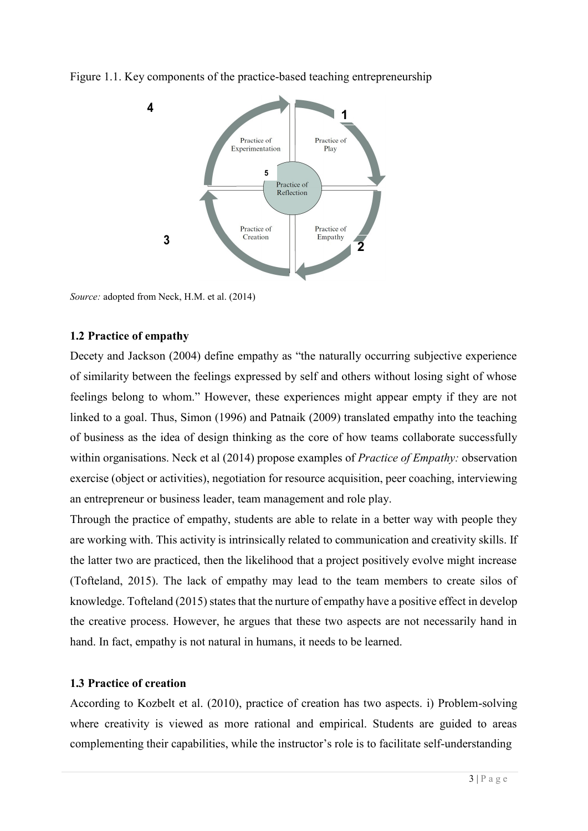



*Source:* adopted from Neck, H.M. et al. (2014)

# **1.2 Practice of empathy**

Decety and Jackson (2004) define empathy as "the naturally occurring subjective experience of similarity between the feelings expressed by self and others without losing sight of whose feelings belong to whom." However, these experiences might appear empty if they are not linked to a goal. Thus, Simon (1996) and Patnaik (2009) translated empathy into the teaching of business as the idea of design thinking as the core of how teams collaborate successfully within organisations. Neck et al (2014) propose examples of *Practice of Empathy:* observation exercise (object or activities), negotiation for resource acquisition, peer coaching, interviewing an entrepreneur or business leader, team management and role play.

Through the practice of empathy, students are able to relate in a better way with people they are working with. This activity is intrinsically related to communication and creativity skills. If the latter two are practiced, then the likelihood that a project positively evolve might increase (Tofteland, 2015). The lack of empathy may lead to the team members to create silos of knowledge. Tofteland (2015) states that the nurture of empathy have a positive effect in develop the creative process. However, he argues that these two aspects are not necessarily hand in hand. In fact, empathy is not natural in humans, it needs to be learned.

# **1.3 Practice of creation**

According to Kozbelt et al. (2010), practice of creation has two aspects. i) Problem-solving where creativity is viewed as more rational and empirical. Students are guided to areas complementing their capabilities, while the instructor's role is to facilitate self-understanding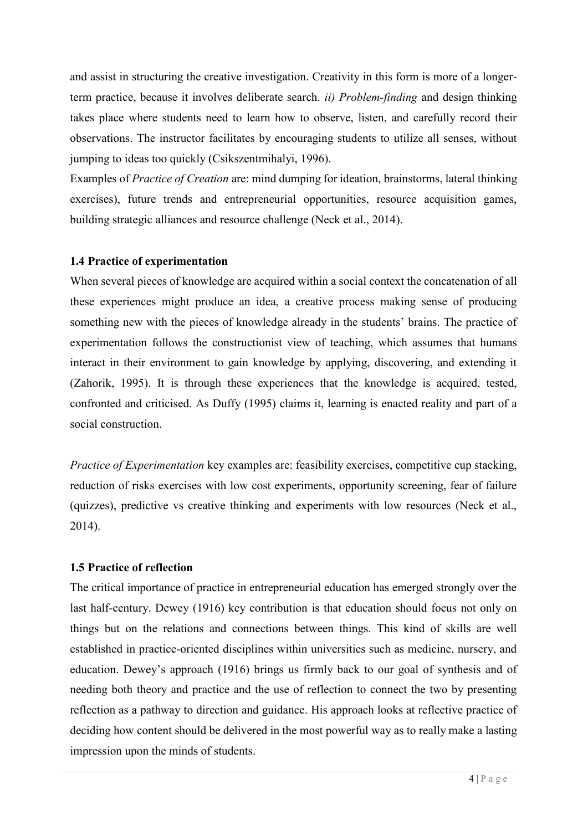and assist in structuring the creative investigation. Creativity in this form is more of a longerterm practice, because it involves deliberate search. *ii) Problem-finding* and design thinking takes place where students need to learn how to observe, listen, and carefully record their observations. The instructor facilitates by encouraging students to utilize all senses, without jumping to ideas too quickly (Csikszentmihalyi, 1996).

Examples of *Practice of Creation* are: mind dumping for ideation, brainstorms, lateral thinking exercises), future trends and entrepreneurial opportunities, resource acquisition games, building strategic alliances and resource challenge (Neck et al., 2014).

# **1.4 Practice of experimentation**

When several pieces of knowledge are acquired within a social context the concatenation of all these experiences might produce an idea, a creative process making sense of producing something new with the pieces of knowledge already in the students' brains. The practice of experimentation follows the constructionist view of teaching, which assumes that humans interact in their environment to gain knowledge by applying, discovering, and extending it (Zahorik, 1995). It is through these experiences that the knowledge is acquired, tested, confronted and criticised. As Duffy (1995) claims it, learning is enacted reality and part of a social construction.

*Practice of Experimentation* key examples are: feasibility exercises, competitive cup stacking, reduction of risks exercises with low cost experiments, opportunity screening, fear of failure (quizzes), predictive vs creative thinking and experiments with low resources (Neck et al., 2014).

# **1.5 Practice of reflection**

The critical importance of practice in entrepreneurial education has emerged strongly over the last half-century. Dewey (1916) key contribution is that education should focus not only on things but on the relations and connections between things. This kind of skills are well established in practice-oriented disciplines within universities such as medicine, nursery, and education. Dewey's approach (1916) brings us firmly back to our goal of synthesis and of needing both theory and practice and the use of reflection to connect the two by presenting reflection as a pathway to direction and guidance. His approach looks at reflective practice of deciding how content should be delivered in the most powerful way as to really make a lasting impression upon the minds of students.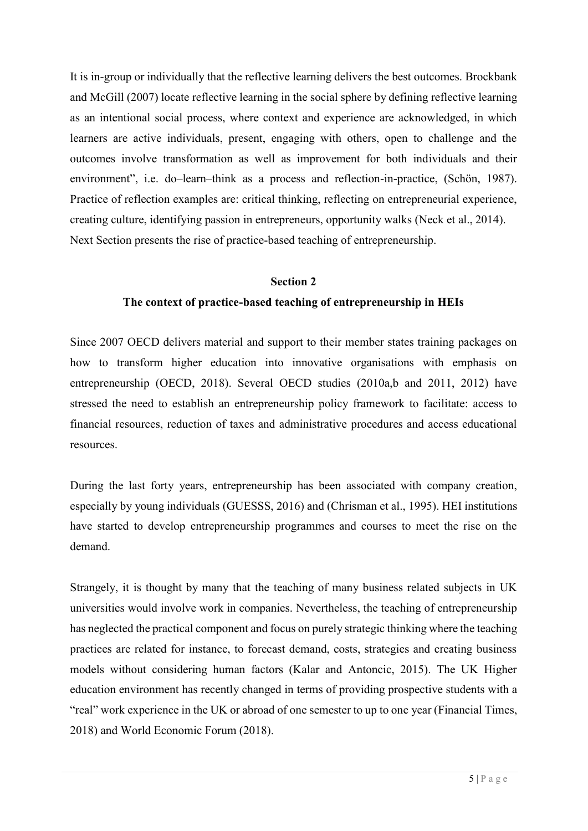It is in-group or individually that the reflective learning delivers the best outcomes. Brockbank and McGill (2007) locate reflective learning in the social sphere by defining reflective learning as an intentional social process, where context and experience are acknowledged, in which learners are active individuals, present, engaging with others, open to challenge and the outcomes involve transformation as well as improvement for both individuals and their environment", i.e. do–learn–think as a process and reflection-in-practice, (Schön, 1987). Practice of reflection examples are: critical thinking, reflecting on entrepreneurial experience, creating culture, identifying passion in entrepreneurs, opportunity walks (Neck et al., 2014). Next Section presents the rise of practice-based teaching of entrepreneurship.

#### **Section 2**

# **The context of practice-based teaching of entrepreneurship in HEIs**

Since 2007 OECD delivers material and support to their member states training packages on how to transform higher education into innovative organisations with emphasis on entrepreneurship (OECD, 2018). Several OECD studies (2010a,b and 2011, 2012) have stressed the need to establish an entrepreneurship policy framework to facilitate: access to financial resources, reduction of taxes and administrative procedures and access educational resources.

During the last forty years, entrepreneurship has been associated with company creation, especially by young individuals (GUESSS, 2016) and (Chrisman et al., 1995). HEI institutions have started to develop entrepreneurship programmes and courses to meet the rise on the demand.

Strangely, it is thought by many that the teaching of many business related subjects in UK universities would involve work in companies. Nevertheless, the teaching of entrepreneurship has neglected the practical component and focus on purely strategic thinking where the teaching practices are related for instance, to forecast demand, costs, strategies and creating business models without considering human factors (Kalar and Antoncic, 2015). The UK Higher education environment has recently changed in terms of providing prospective students with a "real" work experience in the UK or abroad of one semester to up to one year (Financial Times, 2018) and World Economic Forum (2018).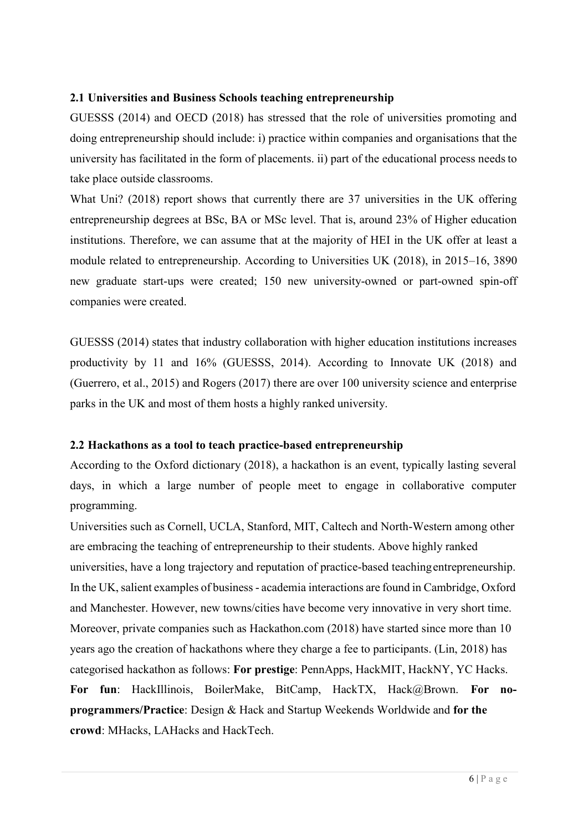# **2.1 Universities and Business Schools teaching entrepreneurship**

GUESSS (2014) and OECD (2018) has stressed that the role of universities promoting and doing entrepreneurship should include: i) practice within companies and organisations that the university has facilitated in the form of placements. ii) part of the educational process needs to take place outside classrooms.

What Uni? (2018) report shows that currently there are 37 universities in the UK offering entrepreneurship degrees at BSc, BA or MSc level. That is, around 23% of Higher education institutions. Therefore, we can assume that at the majority of HEI in the UK offer at least a module related to entrepreneurship. According to Universities UK (2018), in 2015–16, 3890 new graduate start-ups were created; 150 new university-owned or part-owned spin-off companies were created.

GUESSS (2014) states that industry collaboration with higher education institutions increases productivity by 11 and 16% (GUESSS, 2014). According to Innovate UK (2018) and (Guerrero, et al., 2015) and Rogers (2017) there are over 100 university science and enterprise parks in the UK and most of them hosts a highly ranked university.

# **2.2 Hackathons as a tool to teach practice-based entrepreneurship**

According to the Oxford dictionary (2018), a hackathon is an event, typically lasting several days, in which a large number of people meet to engage in collaborative computer programming.

Universities such as Cornell, UCLA, Stanford, MIT, Caltech and North-Western among other are embracing the teaching of entrepreneurship to their students. Above highly ranked universities, have a long trajectory and reputation of practice-based teachingentrepreneurship. In the UK, salient examples of business - academia interactions are found in Cambridge, Oxford and Manchester. However, new towns/cities have become very innovative in very short time. Moreover, private companies such as Hackathon.com (2018) have started since more than 10 years ago the creation of hackathons where they charge a fee to participants. (Lin, 2018) has categorised hackathon as follows: **For prestige**: PennApps, HackMIT, HackNY, YC Hacks. **For fun**: HackIllinois, BoilerMake, BitCamp, HackTX, Hack@Brown. **For noprogrammers/Practice**: Design & Hack and Startup Weekends Worldwide and **for the crowd**: MHacks, LAHacks and HackTech.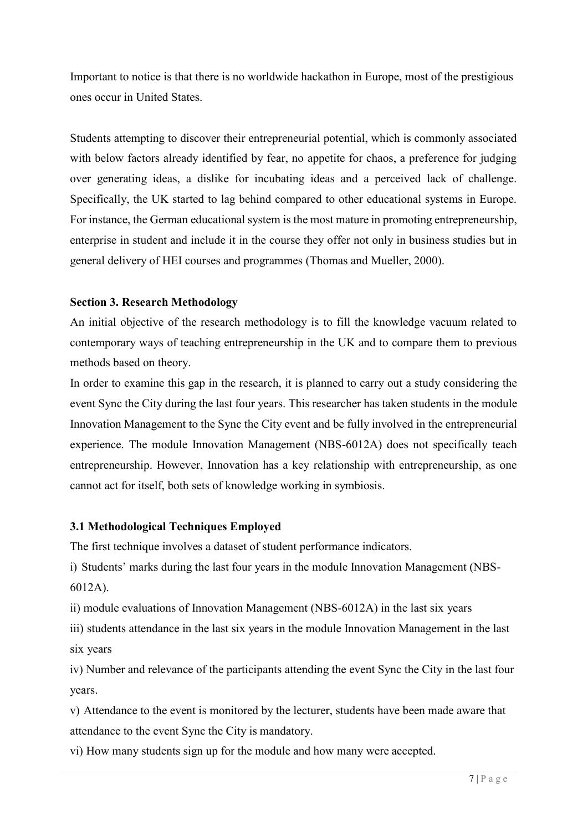Important to notice is that there is no worldwide hackathon in Europe, most of the prestigious ones occur in United States.

Students attempting to discover their entrepreneurial potential, which is commonly associated with below factors already identified by fear, no appetite for chaos, a preference for judging over generating ideas, a dislike for incubating ideas and a perceived lack of challenge. Specifically, the UK started to lag behind compared to other educational systems in Europe. For instance, the German educational system is the most mature in promoting entrepreneurship, enterprise in student and include it in the course they offer not only in business studies but in general delivery of HEI courses and programmes (Thomas and Mueller, 2000).

### **Section 3. Research Methodology**

An initial objective of the research methodology is to fill the knowledge vacuum related to contemporary ways of teaching entrepreneurship in the UK and to compare them to previous methods based on theory.

In order to examine this gap in the research, it is planned to carry out a study considering the event Sync the City during the last four years. This researcher has taken students in the module Innovation Management to the Sync the City event and be fully involved in the entrepreneurial experience. The module Innovation Management (NBS-6012A) does not specifically teach entrepreneurship. However, Innovation has a key relationship with entrepreneurship, as one cannot act for itself, both sets of knowledge working in symbiosis.

### **3.1 Methodological Techniques Employed**

The first technique involves a dataset of student performance indicators.

i) Students' marks during the last four years in the module Innovation Management (NBS-6012A).

ii) module evaluations of Innovation Management (NBS-6012A) in the last six years

iii) students attendance in the last six years in the module Innovation Management in the last six years

iv) Number and relevance of the participants attending the event Sync the City in the last four years.

v) Attendance to the event is monitored by the lecturer, students have been made aware that attendance to the event Sync the City is mandatory.

vi) How many students sign up for the module and how many were accepted.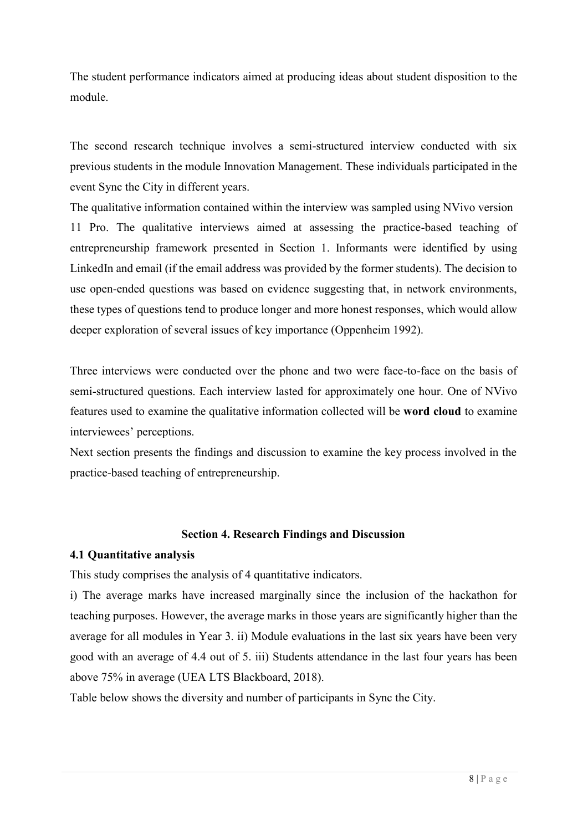The student performance indicators aimed at producing ideas about student disposition to the module.

The second research technique involves a semi-structured interview conducted with six previous students in the module Innovation Management. These individuals participated in the event Sync the City in different years.

The qualitative information contained within the interview was sampled using NVivo version 11 Pro. The qualitative interviews aimed at assessing the practice-based teaching of entrepreneurship framework presented in Section 1. Informants were identified by using LinkedIn and email (if the email address was provided by the former students). The decision to use open-ended questions was based on evidence suggesting that, in network environments, these types of questions tend to produce longer and more honest responses, which would allow deeper exploration of several issues of key importance (Oppenheim 1992).

Three interviews were conducted over the phone and two were face-to-face on the basis of semi-structured questions. Each interview lasted for approximately one hour. One of NVivo features used to examine the qualitative information collected will be **word cloud** to examine interviewees' perceptions.

Next section presents the findings and discussion to examine the key process involved in the practice-based teaching of entrepreneurship.

# **Section 4. Research Findings and Discussion**

### **4.1 Quantitative analysis**

This study comprises the analysis of 4 quantitative indicators.

i) The average marks have increased marginally since the inclusion of the hackathon for teaching purposes. However, the average marks in those years are significantly higher than the average for all modules in Year 3. ii) Module evaluations in the last six years have been very good with an average of 4.4 out of 5. iii) Students attendance in the last four years has been above 75% in average (UEA LTS Blackboard, 2018).

Table below shows the diversity and number of participants in Sync the City.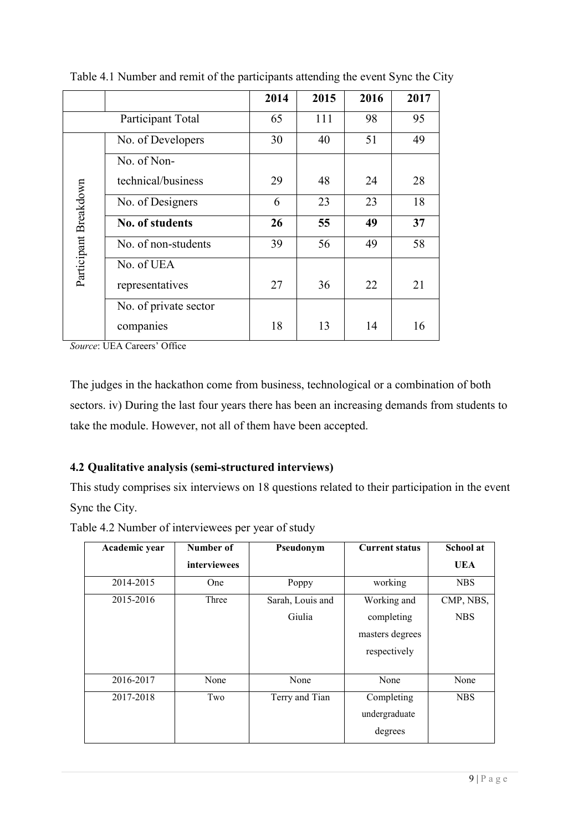|                       |                        | 2014 | 2015 | 2016 | 2017 |
|-----------------------|------------------------|------|------|------|------|
|                       | Participant Total      | 65   | 111  | 98   | 95   |
|                       | No. of Developers      | 30   | 40   | 51   | 49   |
|                       | No. of Non-            |      |      |      |      |
|                       | technical/business     | 29   | 48   | 24   | 28   |
|                       | No. of Designers       | 6    | 23   | 23   | 18   |
| Participant Breakdown | <b>No. of students</b> | 26   | 55   | 49   | 37   |
|                       | No. of non-students    | 39   | 56   | 49   | 58   |
|                       | No. of UEA             |      |      |      |      |
|                       | representatives        | 27   | 36   | 22   | 21   |
|                       | No. of private sector  |      |      |      |      |
|                       | companies              | 18   | 13   | 14   | 16   |

Table 4.1 Number and remit of the participants attending the event Sync the City

*Source*: UEA Careers' Office

The judges in the hackathon come from business, technological or a combination of both sectors. iv) During the last four years there has been an increasing demands from students to take the module. However, not all of them have been accepted.

# **4.2 Qualitative analysis (semi-structured interviews)**

This study comprises six interviews on 18 questions related to their participation in the event Sync the City.

| Academic year | Number of    | Pseudonym        | <b>Current status</b> | School at  |
|---------------|--------------|------------------|-----------------------|------------|
|               | interviewees |                  |                       | UEA        |
| 2014-2015     | One          | Poppy            | working               | <b>NBS</b> |
| 2015-2016     | Three        | Sarah, Louis and | Working and           | CMP, NBS,  |
|               |              | Giulia           | completing            | <b>NBS</b> |
|               |              |                  | masters degrees       |            |
|               |              |                  | respectively          |            |
|               |              |                  |                       |            |
| 2016-2017     | None         | None             | None                  | None       |
| 2017-2018     | Two          | Terry and Tian   | Completing            | <b>NBS</b> |
|               |              |                  | undergraduate         |            |
|               |              |                  | degrees               |            |

Table 4.2 Number of interviewees per year of study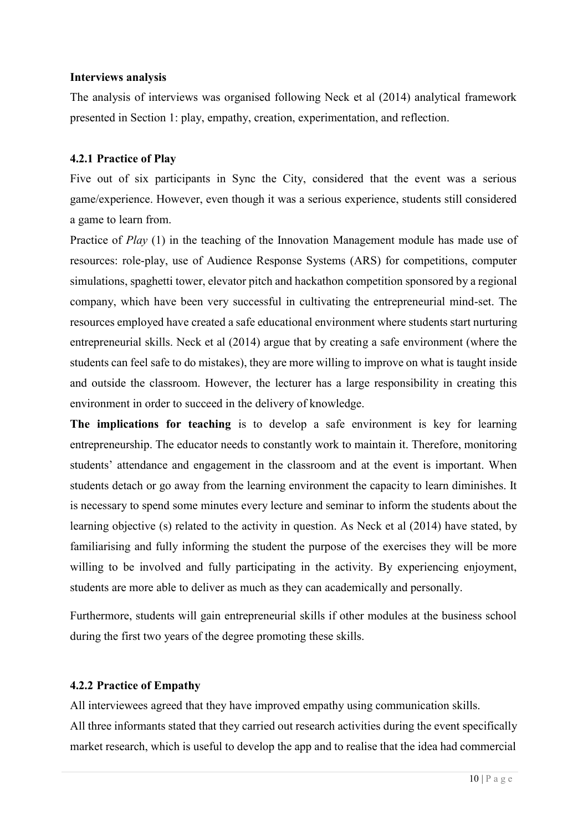### **Interviews analysis**

The analysis of interviews was organised following Neck et al (2014) analytical framework presented in Section 1: play, empathy, creation, experimentation, and reflection.

# **4.2.1 Practice of Play**

Five out of six participants in Sync the City, considered that the event was a serious game/experience. However, even though it was a serious experience, students still considered a game to learn from.

Practice of *Play* (1) in the teaching of the Innovation Management module has made use of resources: role-play, use of Audience Response Systems (ARS) for competitions, computer simulations, spaghetti tower, elevator pitch and hackathon competition sponsored by a regional company, which have been very successful in cultivating the entrepreneurial mind-set. The resources employed have created a safe educational environment where students start nurturing entrepreneurial skills. Neck et al (2014) argue that by creating a safe environment (where the students can feel safe to do mistakes), they are more willing to improve on what is taught inside and outside the classroom. However, the lecturer has a large responsibility in creating this environment in order to succeed in the delivery of knowledge.

**The implications for teaching** is to develop a safe environment is key for learning entrepreneurship. The educator needs to constantly work to maintain it. Therefore, monitoring students' attendance and engagement in the classroom and at the event is important. When students detach or go away from the learning environment the capacity to learn diminishes. It is necessary to spend some minutes every lecture and seminar to inform the students about the learning objective (s) related to the activity in question. As Neck et al (2014) have stated, by familiarising and fully informing the student the purpose of the exercises they will be more willing to be involved and fully participating in the activity. By experiencing enjoyment, students are more able to deliver as much as they can academically and personally.

Furthermore, students will gain entrepreneurial skills if other modules at the business school during the first two years of the degree promoting these skills.

# **4.2.2 Practice of Empathy**

All interviewees agreed that they have improved empathy using communication skills. All three informants stated that they carried out research activities during the event specifically market research, which is useful to develop the app and to realise that the idea had commercial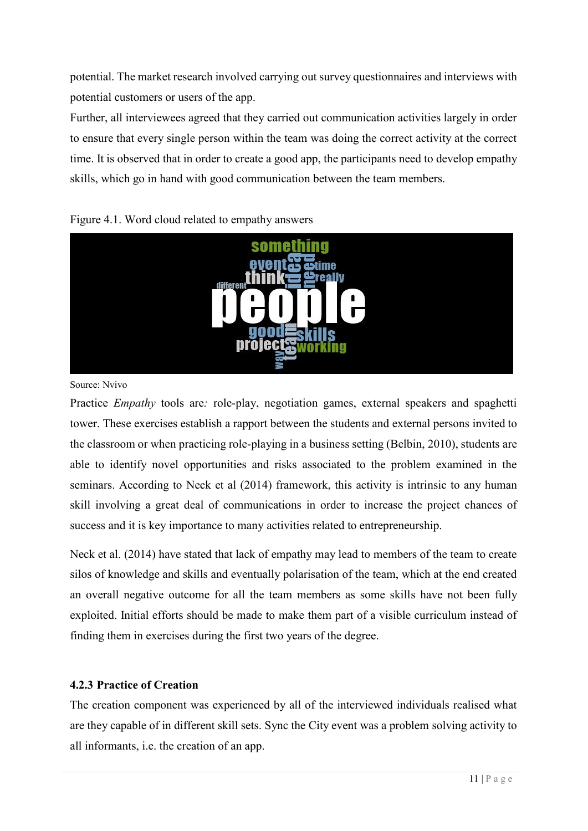potential. The market research involved carrying out survey questionnaires and interviews with potential customers or users of the app.

Further, all interviewees agreed that they carried out communication activities largely in order to ensure that every single person within the team was doing the correct activity at the correct time. It is observed that in order to create a good app, the participants need to develop empathy skills, which go in hand with good communication between the team members.





Source: Nvivo

Practice *Empathy* tools are*:* role-play, negotiation games, external speakers and spaghetti tower. These exercises establish a rapport between the students and external persons invited to the classroom or when practicing role-playing in a business setting (Belbin, 2010), students are able to identify novel opportunities and risks associated to the problem examined in the seminars. According to Neck et al (2014) framework, this activity is intrinsic to any human skill involving a great deal of communications in order to increase the project chances of success and it is key importance to many activities related to entrepreneurship.

Neck et al. (2014) have stated that lack of empathy may lead to members of the team to create silos of knowledge and skills and eventually polarisation of the team, which at the end created an overall negative outcome for all the team members as some skills have not been fully exploited. Initial efforts should be made to make them part of a visible curriculum instead of finding them in exercises during the first two years of the degree.

# **4.2.3 Practice of Creation**

The creation component was experienced by all of the interviewed individuals realised what are they capable of in different skill sets. Sync the City event was a problem solving activity to all informants, i.e. the creation of an app.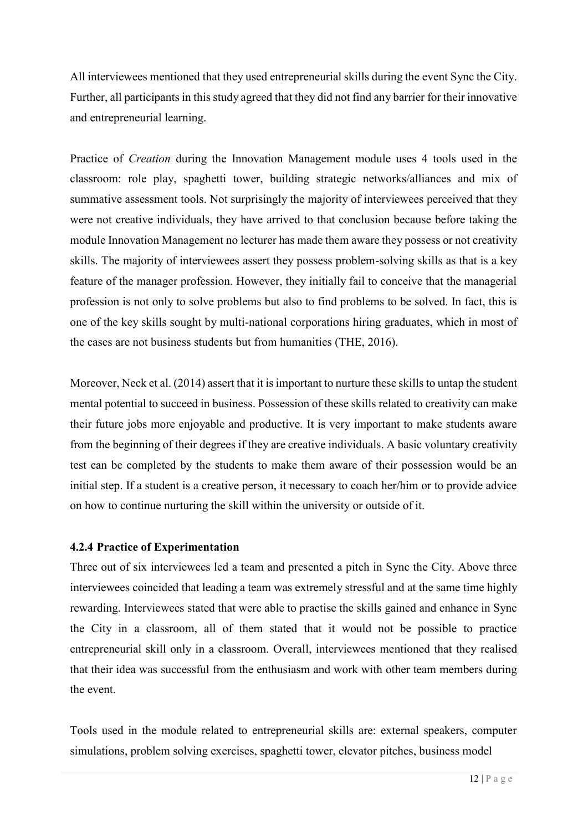All interviewees mentioned that they used entrepreneurial skills during the event Sync the City. Further, all participants in this study agreed that they did not find any barrier for their innovative and entrepreneurial learning.

Practice of *Creation* during the Innovation Management module uses 4 tools used in the classroom: role play, spaghetti tower, building strategic networks/alliances and mix of summative assessment tools. Not surprisingly the majority of interviewees perceived that they were not creative individuals, they have arrived to that conclusion because before taking the module Innovation Management no lecturer has made them aware they possess or not creativity skills. The majority of interviewees assert they possess problem-solving skills as that is a key feature of the manager profession. However, they initially fail to conceive that the managerial profession is not only to solve problems but also to find problems to be solved. In fact, this is one of the key skills sought by multi-national corporations hiring graduates, which in most of the cases are not business students but from humanities (THE, 2016).

Moreover, Neck et al. (2014) assert that it is important to nurture these skills to untap the student mental potential to succeed in business. Possession of these skills related to creativity can make their future jobs more enjoyable and productive. It is very important to make students aware from the beginning of their degrees if they are creative individuals. A basic voluntary creativity test can be completed by the students to make them aware of their possession would be an initial step. If a student is a creative person, it necessary to coach her/him or to provide advice on how to continue nurturing the skill within the university or outside of it.

# **4.2.4 Practice of Experimentation**

Three out of six interviewees led a team and presented a pitch in Sync the City. Above three interviewees coincided that leading a team was extremely stressful and at the same time highly rewarding. Interviewees stated that were able to practise the skills gained and enhance in Sync the City in a classroom, all of them stated that it would not be possible to practice entrepreneurial skill only in a classroom. Overall, interviewees mentioned that they realised that their idea was successful from the enthusiasm and work with other team members during the event.

Tools used in the module related to entrepreneurial skills are: external speakers, computer simulations, problem solving exercises, spaghetti tower, elevator pitches, business model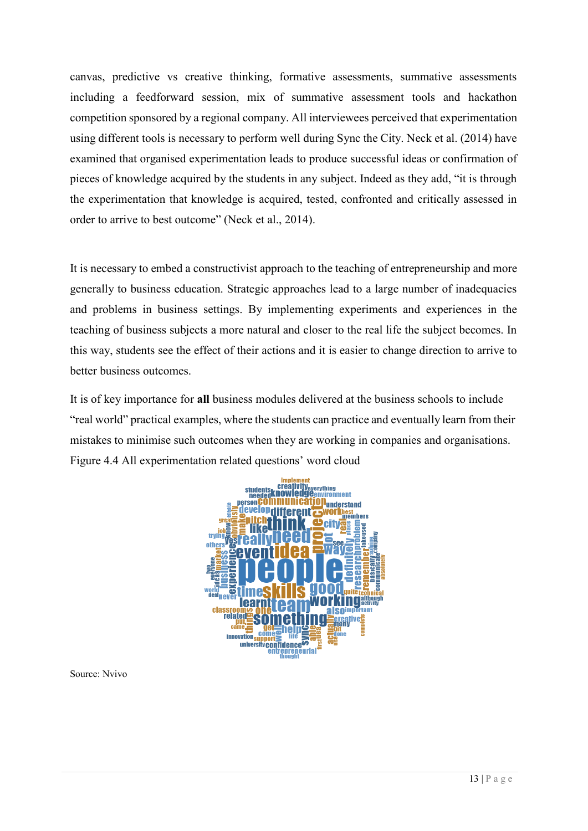canvas, predictive vs creative thinking, formative assessments, summative assessments including a feedforward session, mix of summative assessment tools and hackathon competition sponsored by a regional company. All interviewees perceived that experimentation using different tools is necessary to perform well during Sync the City. Neck et al. (2014) have examined that organised experimentation leads to produce successful ideas or confirmation of pieces of knowledge acquired by the students in any subject. Indeed as they add, "it is through the experimentation that knowledge is acquired, tested, confronted and critically assessed in order to arrive to best outcome" (Neck et al., 2014).

It is necessary to embed a constructivist approach to the teaching of entrepreneurship and more generally to business education. Strategic approaches lead to a large number of inadequacies and problems in business settings. By implementing experiments and experiences in the teaching of business subjects a more natural and closer to the real life the subject becomes. In this way, students see the effect of their actions and it is easier to change direction to arrive to better business outcomes.

It is of key importance for **all** business modules delivered at the business schools to include "real world" practical examples, where the students can practice and eventually learn from their mistakes to minimise such outcomes when they are working in companies and organisations. Figure 4.4 All experimentation related questions' word cloud



Source: Nvivo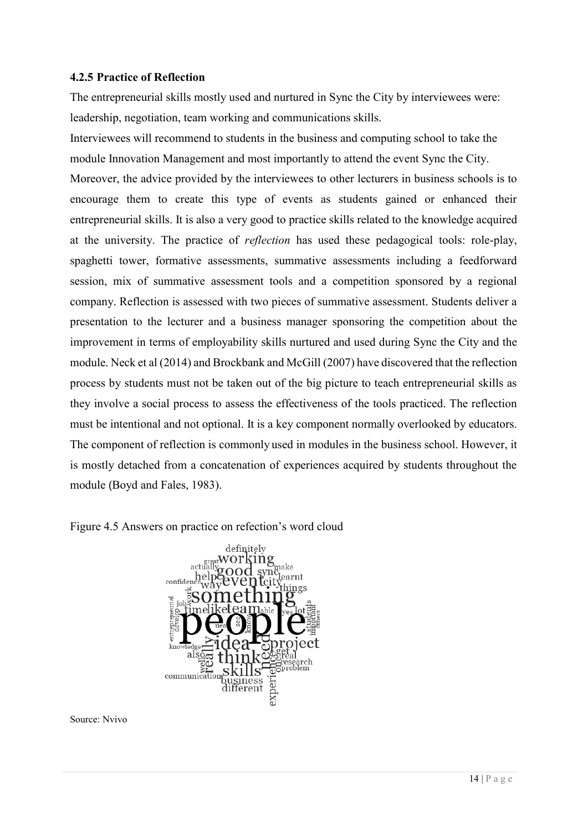#### **4.2.5 Practice of Reflection**

The entrepreneurial skills mostly used and nurtured in Sync the City by interviewees were: leadership, negotiation, team working and communications skills.

Interviewees will recommend to students in the business and computing school to take the module Innovation Management and most importantly to attend the event Sync the City.

Moreover, the advice provided by the interviewees to other lecturers in business schools is to encourage them to create this type of events as students gained or enhanced their entrepreneurial skills. It is also a very good to practice skills related to the knowledge acquired at the university. The practice of *reflection* has used these pedagogical tools: role-play, spaghetti tower, formative assessments, summative assessments including a feedforward session, mix of summative assessment tools and a competition sponsored by a regional company. Reflection is assessed with two pieces of summative assessment. Students deliver a presentation to the lecturer and a business manager sponsoring the competition about the improvement in terms of employability skills nurtured and used during Sync the City and the module. Neck et al (2014) and Brockbank and McGill (2007) have discovered that the reflection process by students must not be taken out of the big picture to teach entrepreneurial skills as they involve a social process to assess the effectiveness of the tools practiced. The reflection must be intentional and not optional. It is a key component normally overlooked by educators. The component of reflection is commonly used in modules in the business school. However, it is mostly detached from a concatenation of experiences acquired by students throughout the module (Boyd and Fales, 1983).





Source: Nvivo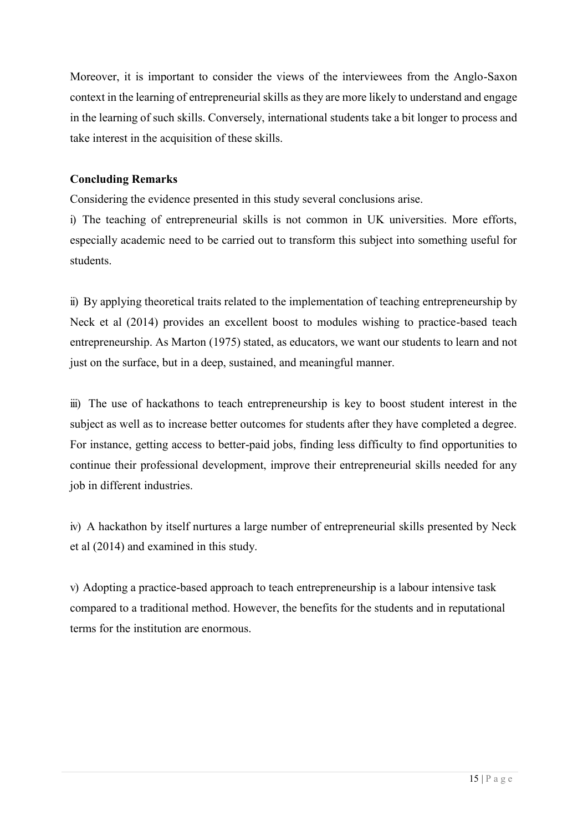Moreover, it is important to consider the views of the interviewees from the Anglo-Saxon context in the learning of entrepreneurial skills as they are more likely to understand and engage in the learning of such skills. Conversely, international students take a bit longer to process and take interest in the acquisition of these skills.

# **Concluding Remarks**

Considering the evidence presented in this study several conclusions arise.

i) The teaching of entrepreneurial skills is not common in UK universities. More efforts, especially academic need to be carried out to transform this subject into something useful for students.

ii) By applying theoretical traits related to the implementation of teaching entrepreneurship by Neck et al (2014) provides an excellent boost to modules wishing to practice-based teach entrepreneurship. As Marton (1975) stated, as educators, we want our students to learn and not just on the surface, but in a deep, sustained, and meaningful manner.

iii) The use of hackathons to teach entrepreneurship is key to boost student interest in the subject as well as to increase better outcomes for students after they have completed a degree. For instance, getting access to better-paid jobs, finding less difficulty to find opportunities to continue their professional development, improve their entrepreneurial skills needed for any job in different industries.

iv) A hackathon by itself nurtures a large number of entrepreneurial skills presented by Neck et al (2014) and examined in this study.

v) Adopting a practice-based approach to teach entrepreneurship is a labour intensive task compared to a traditional method. However, the benefits for the students and in reputational terms for the institution are enormous.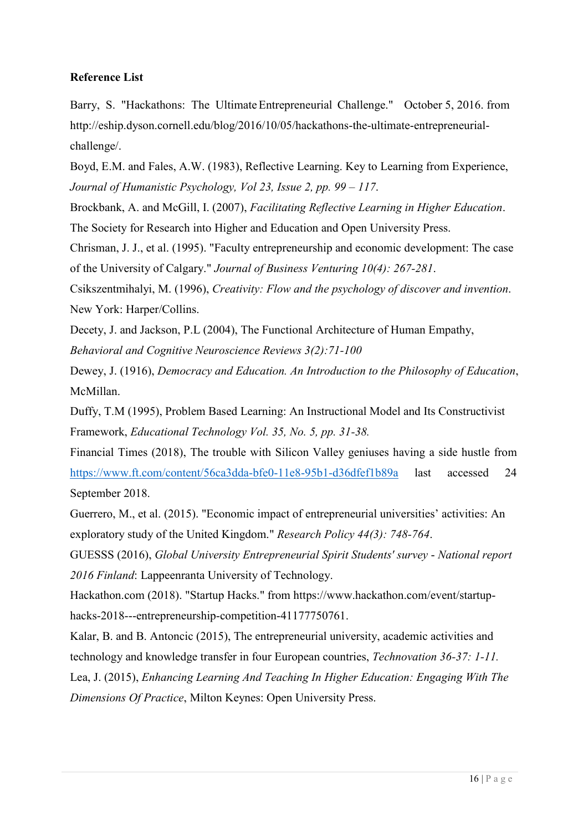# **Reference List**

Barry, S. "Hackathons: The Ultimate Entrepreneurial Challenge." October 5, 2016. from [http://eship.dyson.cornell.edu/blog/2016/10/05/hackathons-the-ultimate-entrepreneurial](http://eship.dyson.cornell.edu/blog/2016/10/05/hackathons-the-ultimate-entrepreneurial-)challenge/.

Boyd, E.M. and Fales, A.W. (1983), Reflective Learning. Key to Learning from Experience, *Journal of Humanistic Psychology, Vol 23, Issue 2, pp. 99 – 117.* 

Brockbank, A. and McGill, I. (2007), *Facilitating Reflective Learning in Higher Education*.

The Society for Research into Higher and Education and Open University Press.

Chrisman, J. J., et al. (1995). "Faculty entrepreneurship and economic development: The case of the University of Calgary." *Journal of Business Venturing 10(4): 267-281*.

Csikszentmihalyi, M. (1996), *Creativity: Flow and the psychology of discover and invention*. New York: Harper/Collins.

Decety, J. and Jackson, P.L (2004), The Functional Architecture of Human Empathy,

*Behavioral and Cognitive Neuroscience Reviews 3(2):71-100*

Dewey, J. (1916), *Democracy and Education. An Introduction to the Philosophy of Education*, McMillan.

Duffy, T.M (1995), Problem Based Learning: An Instructional Model and Its Constructivist Framework, *Educational Technology Vol. 35, No. 5, pp. 31-38.*

Financial Times (2018), The trouble with Silicon Valley geniuses having a side hustle from <https://www.ft.com/content/56ca3dda-bfe0-11e8-95b1-d36dfef1b89a> last accessed 24 September 2018.

Guerrero, M., et al. (2015). "Economic impact of entrepreneurial universities' activities: An exploratory study of the United Kingdom." *Research Policy 44(3): 748-764*.

GUESSS (2016), *Global University Entrepreneurial Spirit Students' survey* - *National report 2016 Finland*: Lappeenranta University of Technology.

Hackathon.com (2018). "Startup Hacks." from https:[//www.hackathon.com/event/startup](http://www.hackathon.com/event/startup-)hacks-2018---entrepreneurship-competition-41177750761.

Kalar, B. and B. Antoncic (2015), The entrepreneurial university, academic activities and technology and knowledge transfer in four European countries, *Technovation 36-37: 1-11.* Lea, J. (2015), *Enhancing Learning And Teaching In Higher Education: Engaging With The Dimensions Of Practice*, Milton Keynes: Open University Press.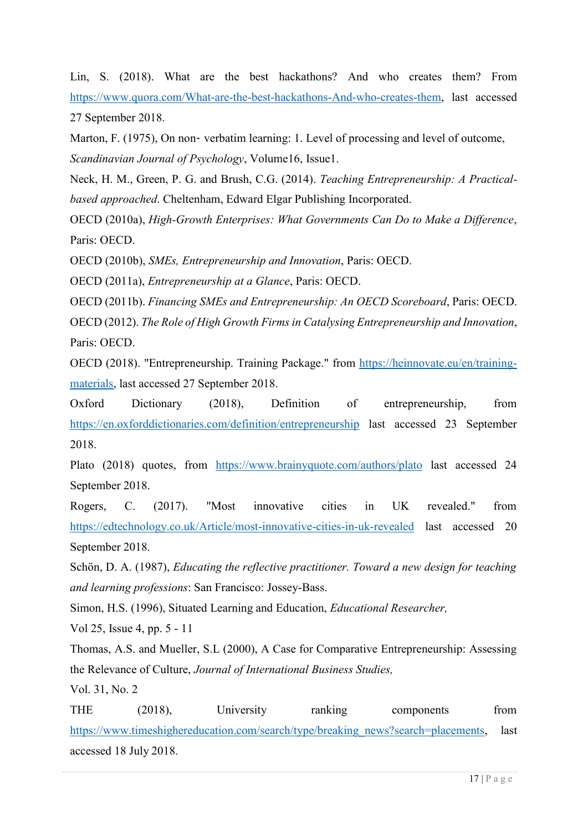Lin, S. (2018). What are the best hackathons? And who creates them? From [https://www.quora.com/What-are-the-best-hackathons-And-who-creates-them,](https://www.quora.com/What-are-the-best-hackathons-And-who-creates-them) last accessed 27 September 2018.

Marton, F. (1975), On non-verbatim learning: 1. Level of processing and level of outcome, *Scandinavian Journal of Psychology*, Volume16, Issue1.

Neck, H. M., Green, P. G. and Brush, C.G. (2014). *Teaching Entrepreneurship: A Practicalbased approached*. Cheltenham, Edward Elgar Publishing Incorporated.

OECD (2010a), *High-Growth Enterprises: What Governments Can Do to Make a Difference*, Paris: OECD.

OECD (2010b), *SMEs, Entrepreneurship and Innovation*, Paris: OECD.

OECD (2011a), *Entrepreneurship at a Glance*, Paris: OECD.

OECD (2011b). *Financing SMEs and Entrepreneurship: An OECD Scoreboard*, Paris: OECD. OECD (2012). *The Role of High Growth Firmsin Catalysing Entrepreneurship and Innovation*, Paris: OECD.

OECD (2018). "Entrepreneurship. Training Package." from [https://heinnovate.eu/en/training](https://heinnovate.eu/en/training-materials)[materials,](https://heinnovate.eu/en/training-materials) last accessed 27 September 2018.

Oxford Dictionary (2018), Definition of entrepreneurship, from <https://en.oxforddictionaries.com/definition/entrepreneurship> last accessed 23 September 2018.

Plato (2018) quotes, from <https://www.brainyquote.com/authors/plato> last accessed 24 September 2018.

Rogers, C. (2017). "Most innovative cities in UK revealed." from <https://edtechnology.co.uk/Article/most-innovative-cities-in-uk-revealed> last accessed 20 September 2018.

Schön, D. A. (1987), *Educating the reflective practitioner. Toward a new design for teaching and learning professions*: San Francisco: Jossey-Bass.

Simon, H.S. (1996), Situated Learning and Education, *Educational Researcher,*

Vol 25, Issue 4, pp. 5 - 11

Thomas, A.S. and Mueller, S.L (2000), A Case for Comparative Entrepreneurship: Assessing the Relevance of Culture, *Journal of International Business Studies,*

Vol. 31, No. 2

THE (2018), University ranking components from [https://www.timeshighereducation.com/search/type/breaking\\_news?search=placements,](https://www.timeshighereducation.com/search/type/breaking_news?search=placements) last accessed 18 July 2018.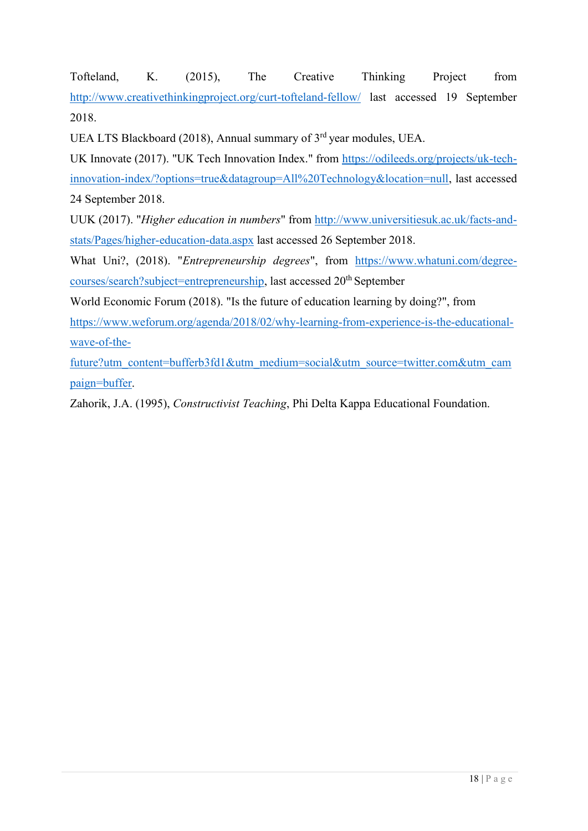Tofteland, K. (2015), The Creative Thinking Project from <http://www.creativethinkingproject.org/curt-tofteland-fellow/> last accessed 19 September 2018.

UEA LTS Blackboard (2018), Annual summary of 3rd year modules, UEA.

UK Innovate (2017). "UK Tech Innovation Index." from [https://odileeds.org/projects/uk-tech](https://odileeds.org/projects/uk-tech-innovation-index/?options=true&datagroup=All%20Technology&location=null)[innovation-index/?options=true&datagroup=All%20Technology&location=null,](https://odileeds.org/projects/uk-tech-innovation-index/?options=true&datagroup=All%20Technology&location=null) last accessed 24 September 2018.

UUK (2017). "*Higher education in numbers*" from [http://www.universitiesuk.ac.uk/facts-and](http://www.universitiesuk.ac.uk/facts-and-stats/Pages/higher-education-data.aspx)[stats/Pages/higher-education-data.aspx](http://www.universitiesuk.ac.uk/facts-and-stats/Pages/higher-education-data.aspx) last accessed 26 September 2018.

What Uni?, (2018). "*Entrepreneurship degrees*", from [https://www.whatuni.com/degree](https://www.whatuni.com/degree-courses/search?subject=entrepreneurship)[courses/search?subject=entrepreneurship,](https://www.whatuni.com/degree-courses/search?subject=entrepreneurship) last accessed 20<sup>th</sup> September

World Economic Forum (2018). "Is the future of education learning by doing?", from

[https://www.weforum.org/agenda/2018/02/why-learning-from-experience-is-the-educational](https://www.weforum.org/agenda/2018/02/why-learning-from-experience-is-the-educational-wave-of-the-future?utm_content=bufferb3fd1&utm_medium=social&utm_source=twitter.com&utm_campaign=buffer)[wave-of-the-](https://www.weforum.org/agenda/2018/02/why-learning-from-experience-is-the-educational-wave-of-the-future?utm_content=bufferb3fd1&utm_medium=social&utm_source=twitter.com&utm_campaign=buffer)

[future?utm\\_content=bufferb3fd1&utm\\_medium=social&utm\\_source=twitter.com&utm\\_cam](https://www.weforum.org/agenda/2018/02/why-learning-from-experience-is-the-educational-wave-of-the-future?utm_content=bufferb3fd1&utm_medium=social&utm_source=twitter.com&utm_campaign=buffer) [paign=buffer.](https://www.weforum.org/agenda/2018/02/why-learning-from-experience-is-the-educational-wave-of-the-future?utm_content=bufferb3fd1&utm_medium=social&utm_source=twitter.com&utm_campaign=buffer)

Zahorik, J.A. (1995), *Constructivist Teaching*, Phi Delta Kappa Educational Foundation.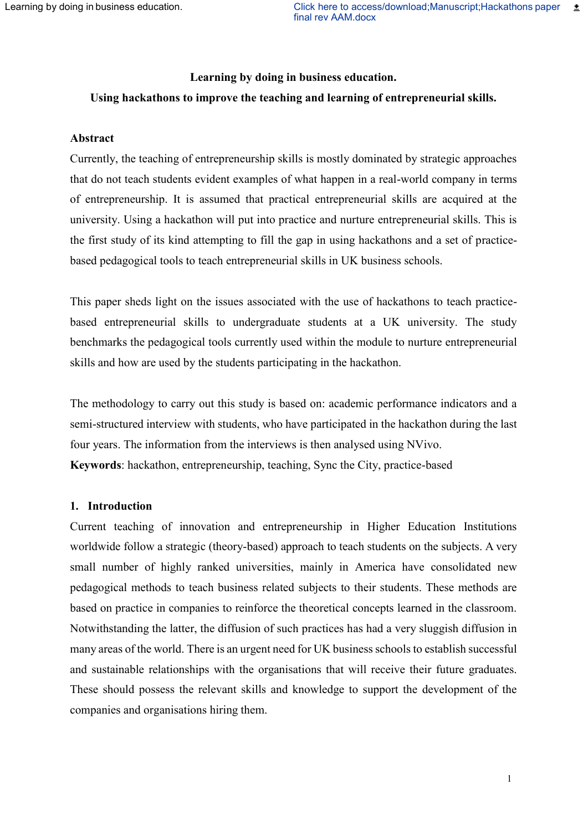# **Learning by doing in business education. Using hackathons to improve the teaching and learning of entrepreneurial skills.**

### **Abstract**

Currently, the teaching of entrepreneurship skills is mostly dominated by strategic approaches that do not teach students evident examples of what happen in a real-world company in terms of entrepreneurship. It is assumed that practical entrepreneurial skills are acquired at the university. Using a hackathon will put into practice and nurture entrepreneurial skills. This is the first study of its kind attempting to fill the gap in using hackathons and a set of practicebased pedagogical tools to teach entrepreneurial skills in UK business schools.

This paper sheds light on the issues associated with the use of hackathons to teach practicebased entrepreneurial skills to undergraduate students at a UK university. The study benchmarks the pedagogical tools currently used within the module to nurture entrepreneurial skills and how are used by the students participating in the hackathon.

The methodology to carry out this study is based on: academic performance indicators and a semi-structured interview with students, who have participated in the hackathon during the last four years. The information from the interviews is then analysed using NVivo. **Keywords**: hackathon, entrepreneurship, teaching, Sync the City, practice-based

#### **1. Introduction**

Current teaching of innovation and entrepreneurship in Higher Education Institutions worldwide follow a strategic (theory-based) approach to teach students on the subjects. A very small number of highly ranked universities, mainly in America have consolidated new pedagogical methods to teach business related subjects to their students. These methods are based on practice in companies to reinforce the theoretical concepts learned in the classroom. Notwithstanding the latter, the diffusion of such practices has had a very sluggish diffusion in many areas of the world. There is an urgent need for UK business schools to establish successful and sustainable relationships with the organisations that will receive their future graduates. These should possess the relevant skills and knowledge to support the development of the companies and organisations hiring them.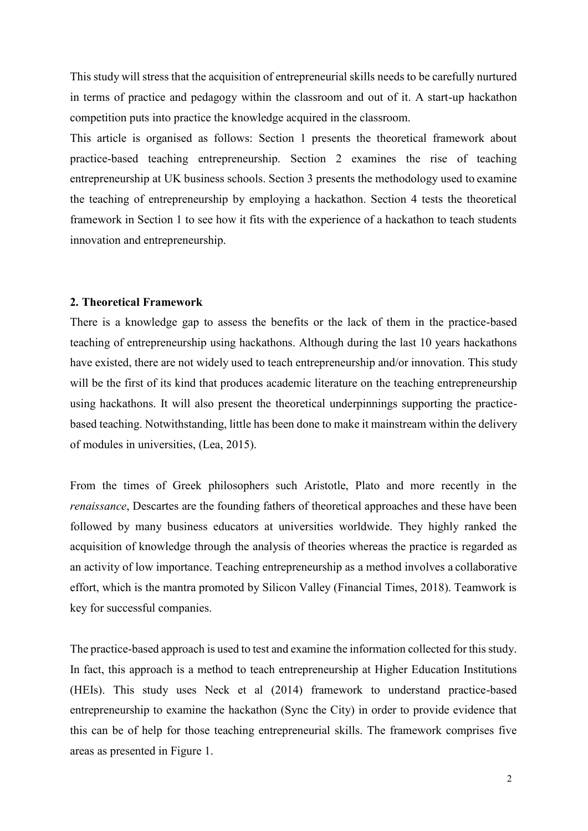This study will stress that the acquisition of entrepreneurial skills needs to be carefully nurtured in terms of practice and pedagogy within the classroom and out of it. A start-up hackathon competition puts into practice the knowledge acquired in the classroom.

This article is organised as follows: Section 1 presents the theoretical framework about practice-based teaching entrepreneurship. Section 2 examines the rise of teaching entrepreneurship at UK business schools. Section 3 presents the methodology used to examine the teaching of entrepreneurship by employing a hackathon. Section 4 tests the theoretical framework in Section 1 to see how it fits with the experience of a hackathon to teach students innovation and entrepreneurship.

#### **2. Theoretical Framework**

There is a knowledge gap to assess the benefits or the lack of them in the practice-based teaching of entrepreneurship using hackathons. Although during the last 10 years hackathons have existed, there are not widely used to teach entrepreneurship and/or innovation. This study will be the first of its kind that produces academic literature on the teaching entrepreneurship using hackathons. It will also present the theoretical underpinnings supporting the practicebased teaching. Notwithstanding, little has been done to make it mainstream within the delivery of modules in universities, (Lea, 2015).

From the times of Greek philosophers such Aristotle, Plato and more recently in the *renaissance*, Descartes are the founding fathers of theoretical approaches and these have been followed by many business educators at universities worldwide. They highly ranked the acquisition of knowledge through the analysis of theories whereas the practice is regarded as an activity of low importance. Teaching entrepreneurship as a method involves a collaborative effort, which is the mantra promoted by Silicon Valley (Financial Times, 2018). Teamwork is key for successful companies.

The practice-based approach is used to test and examine the information collected for this study. In fact, this approach is a method to teach entrepreneurship at Higher Education Institutions (HEIs). This study uses Neck et al (2014) framework to understand practice-based entrepreneurship to examine the hackathon (Sync the City) in order to provide evidence that this can be of help for those teaching entrepreneurial skills. The framework comprises five areas as presented in Figure 1.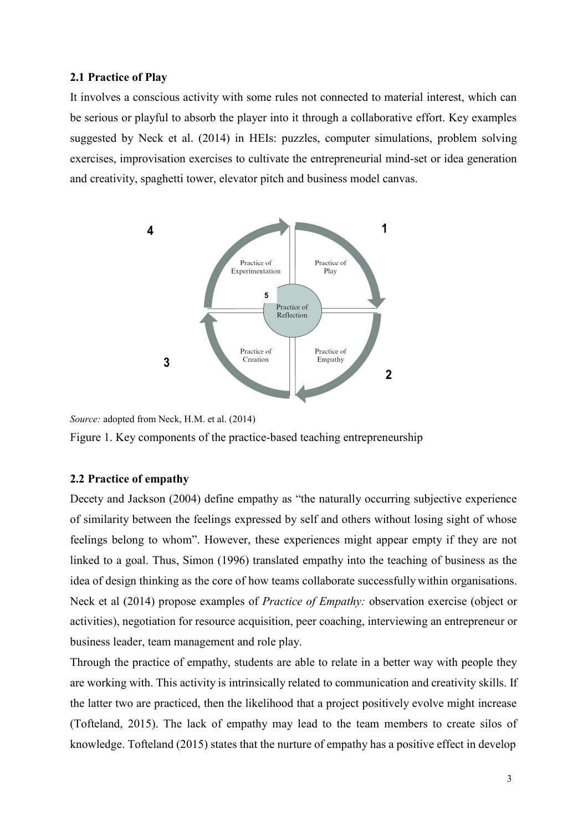#### **2.1 Practice of Play**

It involves a conscious activity with some rules not connected to material interest, which can be serious or playful to absorb the player into it through a collaborative effort. Key examples suggested by Neck et al. (2014) in HEIs: puzzles, computer simulations, problem solving exercises, improvisation exercises to cultivate the entrepreneurial mind-set or idea generation and creativity, spaghetti tower, elevator pitch and business model canvas.





#### **2.2 Practice of empathy**

Decety and Jackson (2004) define empathy as "the naturally occurring subjective experience of similarity between the feelings expressed by self and others without losing sight of whose feelings belong to whom". However, these experiences might appear empty if they are not linked to a goal. Thus, Simon (1996) translated empathy into the teaching of business as the idea of design thinking as the core of how teams collaborate successfully within organisations. Neck et al (2014) propose examples of *Practice of Empathy:* observation exercise (object or activities), negotiation for resource acquisition, peer coaching, interviewing an entrepreneur or business leader, team management and role play.

Through the practice of empathy, students are able to relate in a better way with people they are working with. This activity is intrinsically related to communication and creativity skills. If the latter two are practiced, then the likelihood that a project positively evolve might increase (Tofteland, 2015). The lack of empathy may lead to the team members to create silos of knowledge. Tofteland (2015) states that the nurture of empathy has a positive effect in develop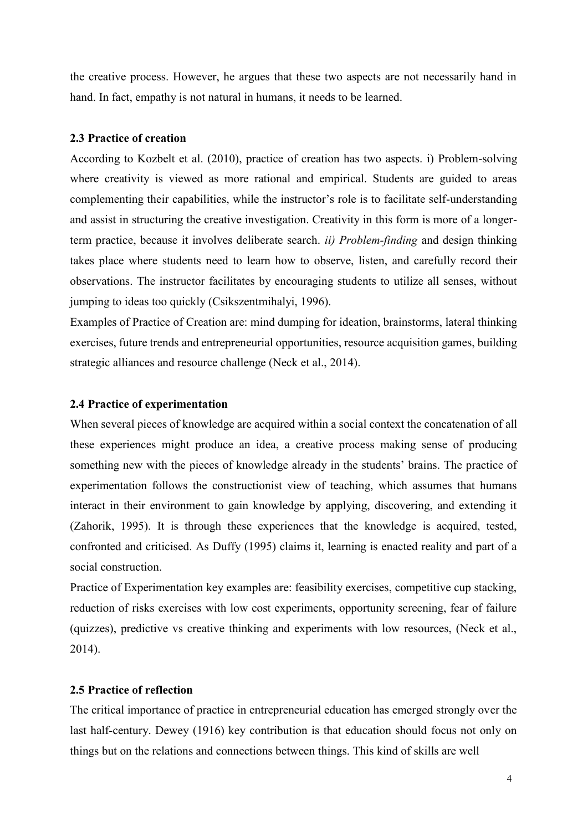the creative process. However, he argues that these two aspects are not necessarily hand in hand. In fact, empathy is not natural in humans, it needs to be learned.

#### **2.3 Practice of creation**

According to Kozbelt et al. (2010), practice of creation has two aspects. i) Problem-solving where creativity is viewed as more rational and empirical. Students are guided to areas complementing their capabilities, while the instructor's role is to facilitate self-understanding and assist in structuring the creative investigation. Creativity in this form is more of a longerterm practice, because it involves deliberate search. *ii) Problem-finding* and design thinking takes place where students need to learn how to observe, listen, and carefully record their observations. The instructor facilitates by encouraging students to utilize all senses, without jumping to ideas too quickly (Csikszentmihalyi, 1996).

Examples of Practice of Creation are: mind dumping for ideation, brainstorms, lateral thinking exercises, future trends and entrepreneurial opportunities, resource acquisition games, building strategic alliances and resource challenge (Neck et al., 2014).

#### **2.4 Practice of experimentation**

When several pieces of knowledge are acquired within a social context the concatenation of all these experiences might produce an idea, a creative process making sense of producing something new with the pieces of knowledge already in the students' brains. The practice of experimentation follows the constructionist view of teaching, which assumes that humans interact in their environment to gain knowledge by applying, discovering, and extending it (Zahorik, 1995). It is through these experiences that the knowledge is acquired, tested, confronted and criticised. As Duffy (1995) claims it, learning is enacted reality and part of a social construction.

Practice of Experimentation key examples are: feasibility exercises, competitive cup stacking, reduction of risks exercises with low cost experiments, opportunity screening, fear of failure (quizzes), predictive vs creative thinking and experiments with low resources, (Neck et al., 2014).

#### **2.5 Practice of reflection**

The critical importance of practice in entrepreneurial education has emerged strongly over the last half-century. Dewey (1916) key contribution is that education should focus not only on things but on the relations and connections between things. This kind of skills are well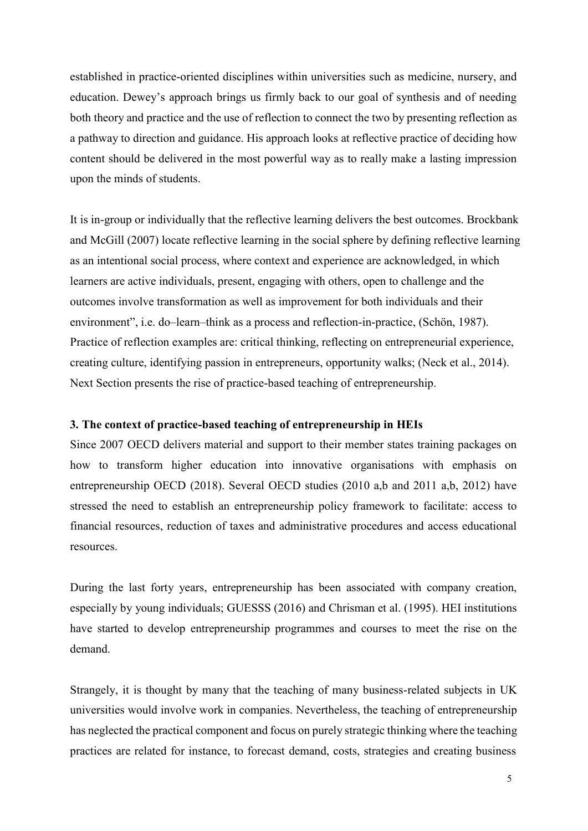established in practice-oriented disciplines within universities such as medicine, nursery, and education. Dewey's approach brings us firmly back to our goal of synthesis and of needing both theory and practice and the use of reflection to connect the two by presenting reflection as a pathway to direction and guidance. His approach looks at reflective practice of deciding how content should be delivered in the most powerful way as to really make a lasting impression upon the minds of students.

It is in-group or individually that the reflective learning delivers the best outcomes. Brockbank and McGill (2007) locate reflective learning in the social sphere by defining reflective learning as an intentional social process, where context and experience are acknowledged, in which learners are active individuals, present, engaging with others, open to challenge and the outcomes involve transformation as well as improvement for both individuals and their environment", i.e. do–learn–think as a process and reflection-in-practice, (Schön, 1987). Practice of reflection examples are: critical thinking, reflecting on entrepreneurial experience, creating culture, identifying passion in entrepreneurs, opportunity walks; (Neck et al., 2014). Next Section presents the rise of practice-based teaching of entrepreneurship.

#### **3. The context of practice-based teaching of entrepreneurship in HEIs**

Since 2007 OECD delivers material and support to their member states training packages on how to transform higher education into innovative organisations with emphasis on entrepreneurship OECD (2018). Several OECD studies (2010 a,b and 2011 a,b, 2012) have stressed the need to establish an entrepreneurship policy framework to facilitate: access to financial resources, reduction of taxes and administrative procedures and access educational resources.

During the last forty years, entrepreneurship has been associated with company creation, especially by young individuals; GUESSS (2016) and Chrisman et al. (1995). HEI institutions have started to develop entrepreneurship programmes and courses to meet the rise on the demand.

Strangely, it is thought by many that the teaching of many business-related subjects in UK universities would involve work in companies. Nevertheless, the teaching of entrepreneurship has neglected the practical component and focus on purely strategic thinking where the teaching practices are related for instance, to forecast demand, costs, strategies and creating business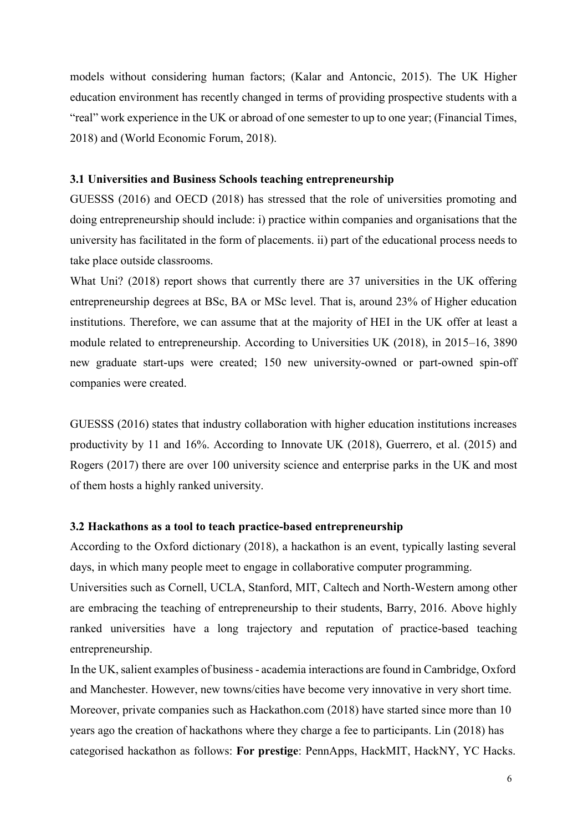models without considering human factors; (Kalar and Antoncic, 2015). The UK Higher education environment has recently changed in terms of providing prospective students with a "real" work experience in the UK or abroad of one semester to up to one year; (Financial Times, 2018) and (World Economic Forum, 2018).

#### **3.1 Universities and Business Schools teaching entrepreneurship**

GUESSS (2016) and OECD (2018) has stressed that the role of universities promoting and doing entrepreneurship should include: i) practice within companies and organisations that the university has facilitated in the form of placements. ii) part of the educational process needs to take place outside classrooms.

What Uni? (2018) report shows that currently there are 37 universities in the UK offering entrepreneurship degrees at BSc, BA or MSc level. That is, around 23% of Higher education institutions. Therefore, we can assume that at the majority of HEI in the UK offer at least a module related to entrepreneurship. According to Universities UK (2018), in 2015–16, 3890 new graduate start-ups were created; 150 new university-owned or part-owned spin-off companies were created.

GUESSS (2016) states that industry collaboration with higher education institutions increases productivity by 11 and 16%. According to Innovate UK (2018), Guerrero, et al. (2015) and Rogers (2017) there are over 100 university science and enterprise parks in the UK and most of them hosts a highly ranked university.

#### **3.2 Hackathons as a tool to teach practice-based entrepreneurship**

According to the Oxford dictionary (2018), a hackathon is an event, typically lasting several days, in which many people meet to engage in collaborative computer programming.

Universities such as Cornell, UCLA, Stanford, MIT, Caltech and North-Western among other are embracing the teaching of entrepreneurship to their students, Barry, 2016. Above highly ranked universities have a long trajectory and reputation of practice-based teaching entrepreneurship.

In the UK, salient examples of business - academia interactions are found in Cambridge, Oxford and Manchester. However, new towns/cities have become very innovative in very short time. Moreover, private companies such as Hackathon.com (2018) have started since more than 10 years ago the creation of hackathons where they charge a fee to participants. Lin (2018) has categorised hackathon as follows: **For prestige**: PennApps, HackMIT, HackNY, YC Hacks.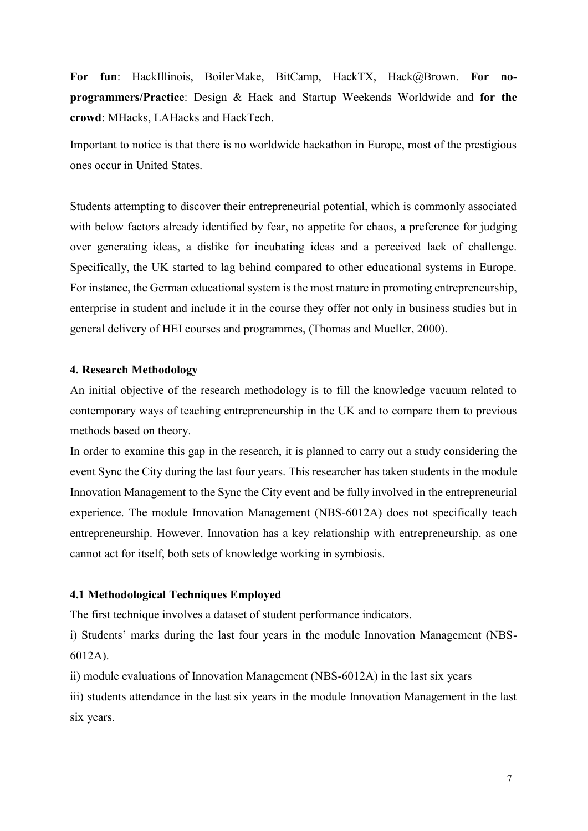For fun: HackIllinois, BoilerMake, BitCamp, HackTX, Hack@Brown. For no**programmers/Practice**: Design & Hack and Startup Weekends Worldwide and **for the crowd**: MHacks, LAHacks and HackTech.

Important to notice is that there is no worldwide hackathon in Europe, most of the prestigious ones occur in United States.

Students attempting to discover their entrepreneurial potential, which is commonly associated with below factors already identified by fear, no appetite for chaos, a preference for judging over generating ideas, a dislike for incubating ideas and a perceived lack of challenge. Specifically, the UK started to lag behind compared to other educational systems in Europe. For instance, the German educational system is the most mature in promoting entrepreneurship, enterprise in student and include it in the course they offer not only in business studies but in general delivery of HEI courses and programmes, (Thomas and Mueller, 2000).

#### **4. Research Methodology**

An initial objective of the research methodology is to fill the knowledge vacuum related to contemporary ways of teaching entrepreneurship in the UK and to compare them to previous methods based on theory.

In order to examine this gap in the research, it is planned to carry out a study considering the event Sync the City during the last four years. This researcher has taken students in the module Innovation Management to the Sync the City event and be fully involved in the entrepreneurial experience. The module Innovation Management (NBS-6012A) does not specifically teach entrepreneurship. However, Innovation has a key relationship with entrepreneurship, as one cannot act for itself, both sets of knowledge working in symbiosis.

### **4.1 Methodological Techniques Employed**

The first technique involves a dataset of student performance indicators.

i) Students' marks during the last four years in the module Innovation Management (NBS-6012A).

ii) module evaluations of Innovation Management (NBS-6012A) in the last six years

iii) students attendance in the last six years in the module Innovation Management in the last six years.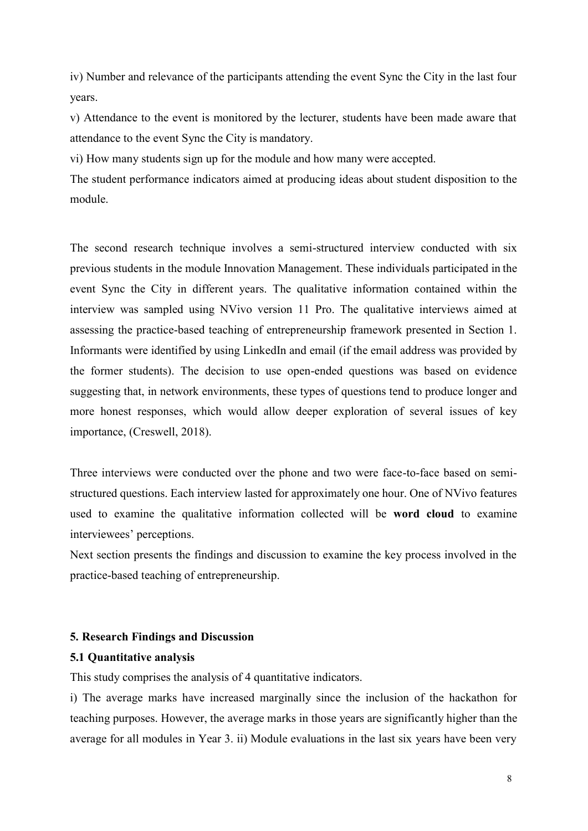iv) Number and relevance of the participants attending the event Sync the City in the last four years.

v) Attendance to the event is monitored by the lecturer, students have been made aware that attendance to the event Sync the City is mandatory.

vi) How many students sign up for the module and how many were accepted.

The student performance indicators aimed at producing ideas about student disposition to the module.

The second research technique involves a semi-structured interview conducted with six previous students in the module Innovation Management. These individuals participated in the event Sync the City in different years. The qualitative information contained within the interview was sampled using NVivo version 11 Pro. The qualitative interviews aimed at assessing the practice-based teaching of entrepreneurship framework presented in Section 1. Informants were identified by using LinkedIn and email (if the email address was provided by the former students). The decision to use open-ended questions was based on evidence suggesting that, in network environments, these types of questions tend to produce longer and more honest responses, which would allow deeper exploration of several issues of key importance, (Creswell, 2018).

Three interviews were conducted over the phone and two were face-to-face based on semistructured questions. Each interview lasted for approximately one hour. One of NVivo features used to examine the qualitative information collected will be **word cloud** to examine interviewees' perceptions.

Next section presents the findings and discussion to examine the key process involved in the practice-based teaching of entrepreneurship.

### **5. Research Findings and Discussion**

### **5.1 Quantitative analysis**

This study comprises the analysis of 4 quantitative indicators.

i) The average marks have increased marginally since the inclusion of the hackathon for teaching purposes. However, the average marks in those years are significantly higher than the average for all modules in Year 3. ii) Module evaluations in the last six years have been very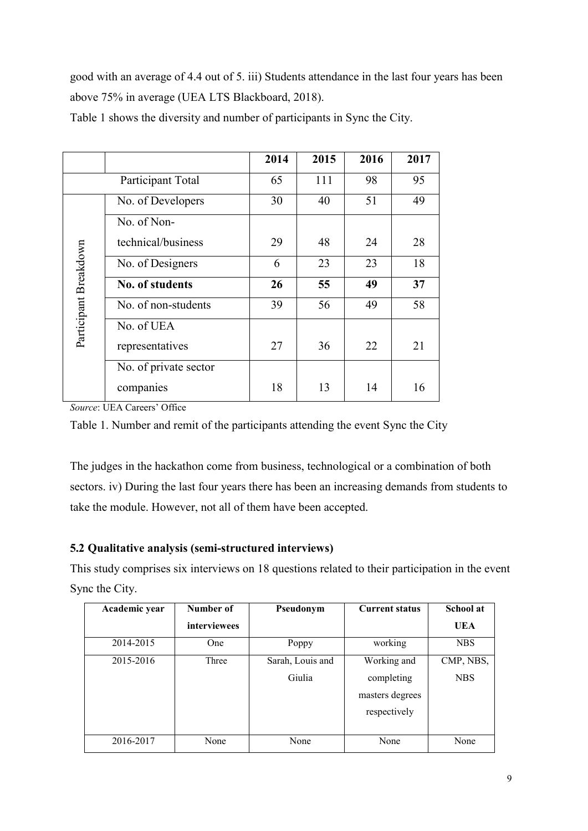good with an average of 4.4 out of 5. iii) Students attendance in the last four years has been above 75% in average (UEA LTS Blackboard, 2018).

|                       |                        | 2014 | 2015 | 2016 | 2017 |
|-----------------------|------------------------|------|------|------|------|
|                       | Participant Total      | 65   | 111  | 98   | 95   |
|                       | No. of Developers      | 30   | 40   | 51   | 49   |
|                       | No. of Non-            |      |      |      |      |
|                       | technical/business     | 29   | 48   | 24   | 28   |
|                       | No. of Designers       | 6    | 23   | 23   | 18   |
| Participant Breakdown | <b>No. of students</b> | 26   | 55   | 49   | 37   |
|                       | No. of non-students    | 39   | 56   | 49   | 58   |
|                       | No. of UEA             |      |      |      |      |
|                       | representatives        | 27   | 36   | 22   | 21   |
|                       | No. of private sector  |      |      |      |      |
|                       | companies              | 18   | 13   | 14   | 16   |

Table 1 shows the diversity and number of participants in Sync the City.

*Source*: UEA Careers' Office

Table 1. Number and remit of the participants attending the event Sync the City

The judges in the hackathon come from business, technological or a combination of both sectors. iv) During the last four years there has been an increasing demands from students to take the module. However, not all of them have been accepted.

# **5.2 Qualitative analysis (semi-structured interviews)**

This study comprises six interviews on 18 questions related to their participation in the event Sync the City.

| Academic year | Number of    | Pseudonym        | <b>Current status</b> | School at  |
|---------------|--------------|------------------|-----------------------|------------|
|               | interviewees |                  |                       | <b>UEA</b> |
| 2014-2015     | One          | Poppy            | working               | <b>NBS</b> |
| 2015-2016     | Three        | Sarah, Louis and | Working and           | CMP, NBS,  |
|               |              | Giulia           | completing            | <b>NBS</b> |
|               |              |                  | masters degrees       |            |
|               |              |                  | respectively          |            |
|               |              |                  |                       |            |
| 2016-2017     | None         | None             | None                  | None       |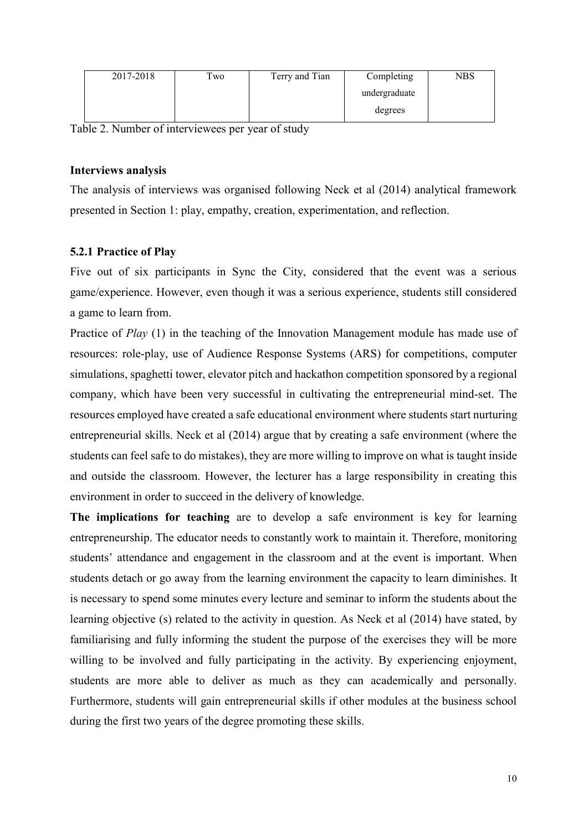| 2017-2018 | Two | Terry and Tian | Completing    | NBS |
|-----------|-----|----------------|---------------|-----|
|           |     |                | undergraduate |     |
|           |     |                | degrees       |     |

Table 2. Number of interviewees per year of study

### **Interviews analysis**

The analysis of interviews was organised following Neck et al (2014) analytical framework presented in Section 1: play, empathy, creation, experimentation, and reflection.

### **5.2.1 Practice of Play**

Five out of six participants in Sync the City, considered that the event was a serious game/experience. However, even though it was a serious experience, students still considered a game to learn from.

Practice of *Play* (1) in the teaching of the Innovation Management module has made use of resources: role-play, use of Audience Response Systems (ARS) for competitions, computer simulations, spaghetti tower, elevator pitch and hackathon competition sponsored by a regional company, which have been very successful in cultivating the entrepreneurial mind-set. The resources employed have created a safe educational environment where students start nurturing entrepreneurial skills. Neck et al (2014) argue that by creating a safe environment (where the students can feel safe to do mistakes), they are more willing to improve on what is taught inside and outside the classroom. However, the lecturer has a large responsibility in creating this environment in order to succeed in the delivery of knowledge.

**The implications for teaching** are to develop a safe environment is key for learning entrepreneurship. The educator needs to constantly work to maintain it. Therefore, monitoring students' attendance and engagement in the classroom and at the event is important. When students detach or go away from the learning environment the capacity to learn diminishes. It is necessary to spend some minutes every lecture and seminar to inform the students about the learning objective (s) related to the activity in question. As Neck et al (2014) have stated, by familiarising and fully informing the student the purpose of the exercises they will be more willing to be involved and fully participating in the activity. By experiencing enjoyment, students are more able to deliver as much as they can academically and personally. Furthermore, students will gain entrepreneurial skills if other modules at the business school during the first two years of the degree promoting these skills.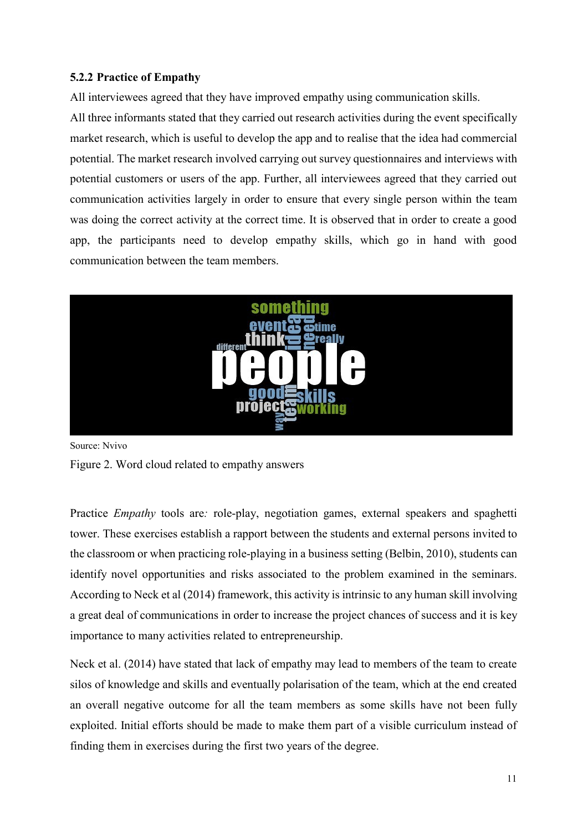### **5.2.2 Practice of Empathy**

All interviewees agreed that they have improved empathy using communication skills.

All three informants stated that they carried out research activities during the event specifically market research, which is useful to develop the app and to realise that the idea had commercial potential. The market research involved carrying out survey questionnaires and interviews with potential customers or users of the app. Further, all interviewees agreed that they carried out communication activities largely in order to ensure that every single person within the team was doing the correct activity at the correct time. It is observed that in order to create a good app, the participants need to develop empathy skills, which go in hand with good communication between the team members.



Source: Nvivo Figure 2. Word cloud related to empathy answers

Practice *Empathy* tools are*:* role-play, negotiation games, external speakers and spaghetti tower. These exercises establish a rapport between the students and external persons invited to the classroom or when practicing role-playing in a business setting (Belbin, 2010), students can identify novel opportunities and risks associated to the problem examined in the seminars. According to Neck et al (2014) framework, this activity is intrinsic to any human skill involving a great deal of communications in order to increase the project chances of success and it is key importance to many activities related to entrepreneurship.

Neck et al. (2014) have stated that lack of empathy may lead to members of the team to create silos of knowledge and skills and eventually polarisation of the team, which at the end created an overall negative outcome for all the team members as some skills have not been fully exploited. Initial efforts should be made to make them part of a visible curriculum instead of finding them in exercises during the first two years of the degree.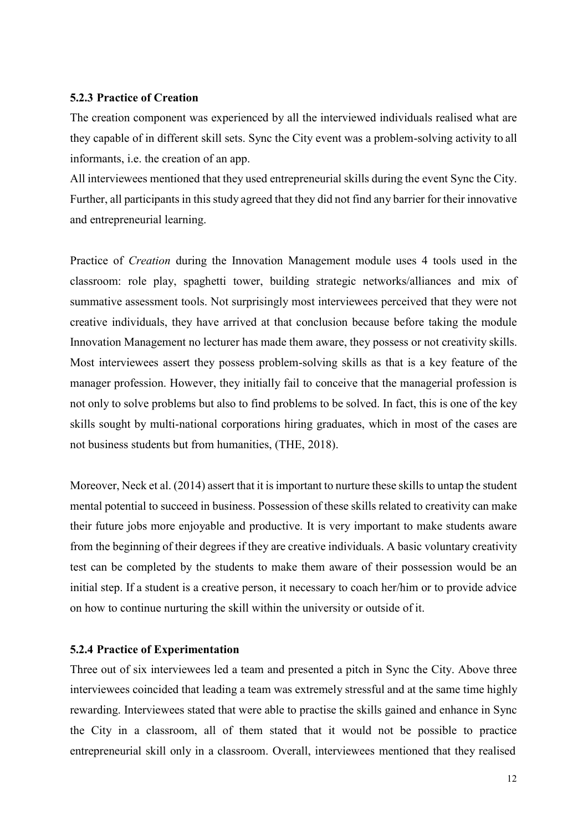### **5.2.3 Practice of Creation**

The creation component was experienced by all the interviewed individuals realised what are they capable of in different skill sets. Sync the City event was a problem-solving activity to all informants, i.e. the creation of an app.

All interviewees mentioned that they used entrepreneurial skills during the event Sync the City. Further, all participants in this study agreed that they did not find any barrier for their innovative and entrepreneurial learning.

Practice of *Creation* during the Innovation Management module uses 4 tools used in the classroom: role play, spaghetti tower, building strategic networks/alliances and mix of summative assessment tools. Not surprisingly most interviewees perceived that they were not creative individuals, they have arrived at that conclusion because before taking the module Innovation Management no lecturer has made them aware, they possess or not creativity skills. Most interviewees assert they possess problem-solving skills as that is a key feature of the manager profession. However, they initially fail to conceive that the managerial profession is not only to solve problems but also to find problems to be solved. In fact, this is one of the key skills sought by multi-national corporations hiring graduates, which in most of the cases are not business students but from humanities, (THE, 2018).

Moreover, Neck et al. (2014) assert that it is important to nurture these skills to untap the student mental potential to succeed in business. Possession of these skills related to creativity can make their future jobs more enjoyable and productive. It is very important to make students aware from the beginning of their degrees if they are creative individuals. A basic voluntary creativity test can be completed by the students to make them aware of their possession would be an initial step. If a student is a creative person, it necessary to coach her/him or to provide advice on how to continue nurturing the skill within the university or outside of it.

### **5.2.4 Practice of Experimentation**

Three out of six interviewees led a team and presented a pitch in Sync the City. Above three interviewees coincided that leading a team was extremely stressful and at the same time highly rewarding. Interviewees stated that were able to practise the skills gained and enhance in Sync the City in a classroom, all of them stated that it would not be possible to practice entrepreneurial skill only in a classroom. Overall, interviewees mentioned that they realised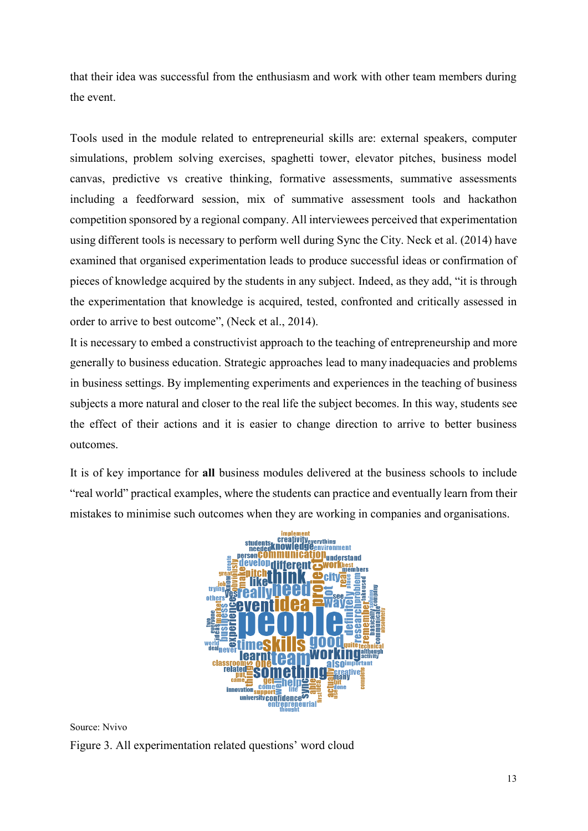that their idea was successful from the enthusiasm and work with other team members during the event.

Tools used in the module related to entrepreneurial skills are: external speakers, computer simulations, problem solving exercises, spaghetti tower, elevator pitches, business model canvas, predictive vs creative thinking, formative assessments, summative assessments including a feedforward session, mix of summative assessment tools and hackathon competition sponsored by a regional company. All interviewees perceived that experimentation using different tools is necessary to perform well during Sync the City. Neck et al. (2014) have examined that organised experimentation leads to produce successful ideas or confirmation of pieces of knowledge acquired by the students in any subject. Indeed, as they add, "it is through the experimentation that knowledge is acquired, tested, confronted and critically assessed in order to arrive to best outcome", (Neck et al., 2014).

It is necessary to embed a constructivist approach to the teaching of entrepreneurship and more generally to business education. Strategic approaches lead to many inadequacies and problems in business settings. By implementing experiments and experiences in the teaching of business subjects a more natural and closer to the real life the subject becomes. In this way, students see the effect of their actions and it is easier to change direction to arrive to better business outcomes.

It is of key importance for **all** business modules delivered at the business schools to include "real world" practical examples, where the students can practice and eventually learn from their mistakes to minimise such outcomes when they are working in companies and organisations.



Source: Nvivo Figure 3. All experimentation related questions' word cloud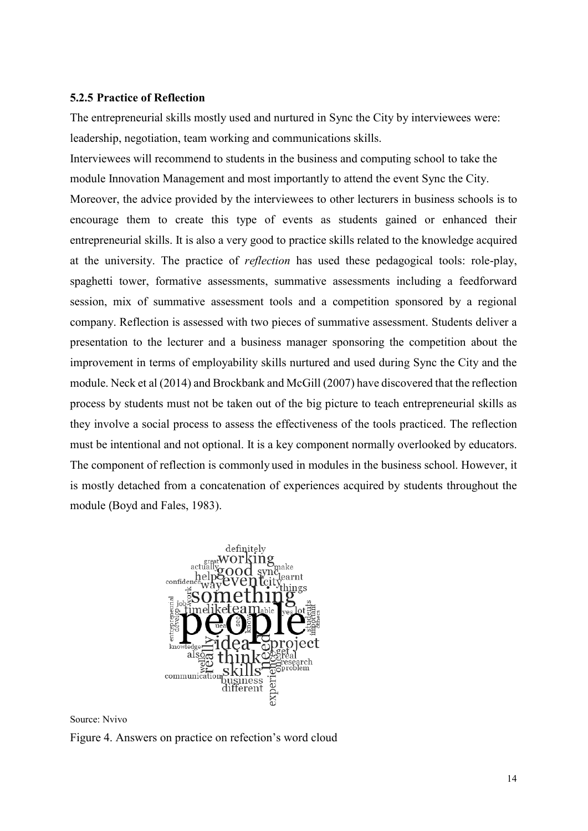#### **5.2.5 Practice of Reflection**

The entrepreneurial skills mostly used and nurtured in Sync the City by interviewees were: leadership, negotiation, team working and communications skills.

Interviewees will recommend to students in the business and computing school to take the module Innovation Management and most importantly to attend the event Sync the City.

Moreover, the advice provided by the interviewees to other lecturers in business schools is to encourage them to create this type of events as students gained or enhanced their entrepreneurial skills. It is also a very good to practice skills related to the knowledge acquired at the university. The practice of *reflection* has used these pedagogical tools: role-play, spaghetti tower, formative assessments, summative assessments including a feedforward session, mix of summative assessment tools and a competition sponsored by a regional company. Reflection is assessed with two pieces of summative assessment. Students deliver a presentation to the lecturer and a business manager sponsoring the competition about the improvement in terms of employability skills nurtured and used during Sync the City and the module. Neck et al (2014) and Brockbank and McGill (2007) have discovered that the reflection process by students must not be taken out of the big picture to teach entrepreneurial skills as they involve a social process to assess the effectiveness of the tools practiced. The reflection must be intentional and not optional. It is a key component normally overlooked by educators. The component of reflection is commonly used in modules in the business school. However, it is mostly detached from a concatenation of experiences acquired by students throughout the module (Boyd and Fales, 1983).



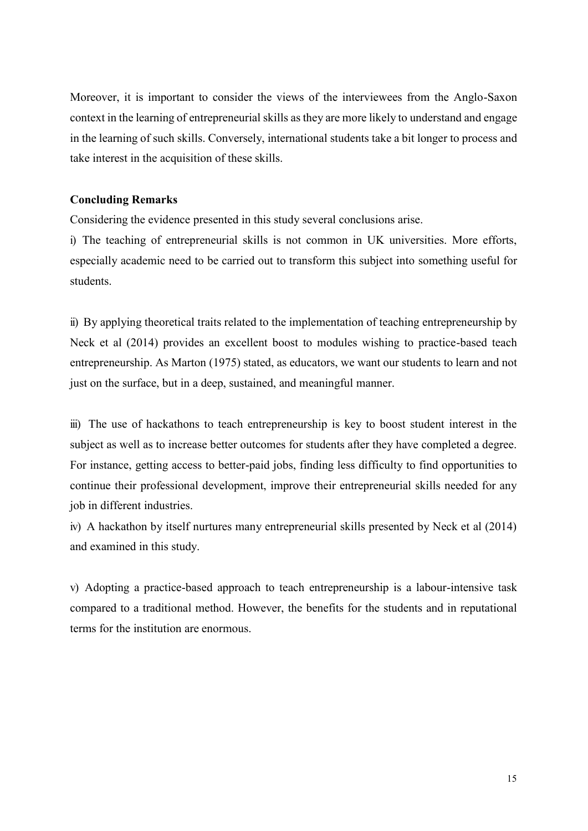Moreover, it is important to consider the views of the interviewees from the Anglo-Saxon context in the learning of entrepreneurial skills as they are more likely to understand and engage in the learning of such skills. Conversely, international students take a bit longer to process and take interest in the acquisition of these skills.

#### **Concluding Remarks**

Considering the evidence presented in this study several conclusions arise.

i) The teaching of entrepreneurial skills is not common in UK universities. More efforts, especially academic need to be carried out to transform this subject into something useful for students.

ii) By applying theoretical traits related to the implementation of teaching entrepreneurship by Neck et al (2014) provides an excellent boost to modules wishing to practice-based teach entrepreneurship. As Marton (1975) stated, as educators, we want our students to learn and not just on the surface, but in a deep, sustained, and meaningful manner.

iii) The use of hackathons to teach entrepreneurship is key to boost student interest in the subject as well as to increase better outcomes for students after they have completed a degree. For instance, getting access to better-paid jobs, finding less difficulty to find opportunities to continue their professional development, improve their entrepreneurial skills needed for any job in different industries.

iv) A hackathon by itself nurtures many entrepreneurial skills presented by Neck et al (2014) and examined in this study.

v) Adopting a practice-based approach to teach entrepreneurship is a labour-intensive task compared to a traditional method. However, the benefits for the students and in reputational terms for the institution are enormous.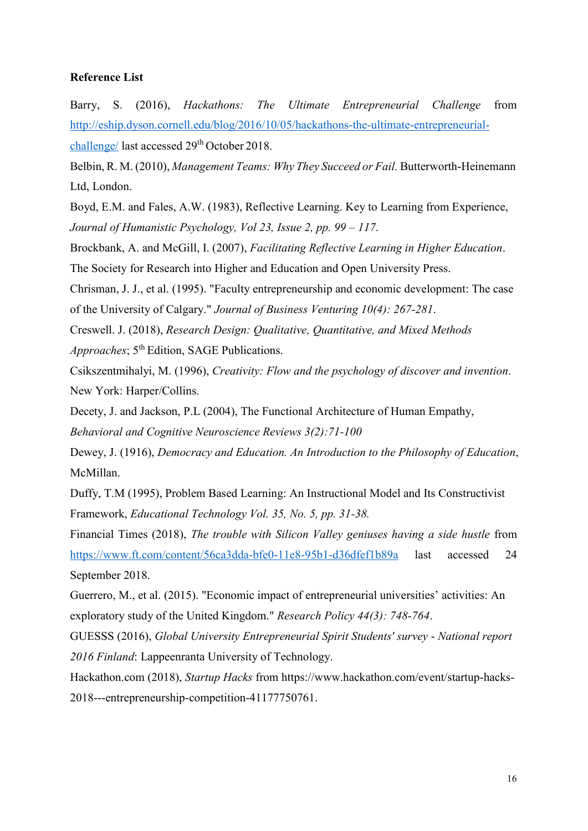#### **Reference List**

Barry, S. (2016), *Hackathons: The Ultimate Entrepreneurial Challenge* from [http://eship.dyson.cornell.edu/blog/2016/10/05/hackathons-the-ultimate-entrepreneurial](http://eship.dyson.cornell.edu/blog/2016/10/05/hackathons-the-ultimate-entrepreneurial-challenge/)[challenge/](http://eship.dyson.cornell.edu/blog/2016/10/05/hackathons-the-ultimate-entrepreneurial-challenge/) last accessed 29<sup>th</sup> October 2018.

Belbin, R. M. (2010), *Management Teams: Why They Succeed or Fail.* Butterworth-Heinemann Ltd, London.

Boyd, E.M. and Fales, A.W. (1983), Reflective Learning. Key to Learning from Experience, *Journal of Humanistic Psychology, Vol 23, Issue 2, pp. 99 – 117.* 

Brockbank, A. and McGill, I. (2007), *Facilitating Reflective Learning in Higher Education*.

The Society for Research into Higher and Education and Open University Press.

Chrisman, J. J., et al. (1995). "Faculty entrepreneurship and economic development: The case of the University of Calgary." *Journal of Business Venturing 10(4): 267-281*.

Creswell. J. (2018), *Research Design: Qualitative, Quantitative, and Mixed Methods Approaches*; 5th Edition, SAGE Publications.

Csikszentmihalyi, M. (1996), *Creativity: Flow and the psychology of discover and invention*. New York: Harper/Collins.

Decety, J. and Jackson, P.L (2004), The Functional Architecture of Human Empathy, *Behavioral and Cognitive Neuroscience Reviews 3(2):71-100*

Dewey, J. (1916), *Democracy and Education. An Introduction to the Philosophy of Education*, McMillan.

Duffy, T.M (1995), Problem Based Learning: An Instructional Model and Its Constructivist Framework, *Educational Technology Vol. 35, No. 5, pp. 31-38.*

Financial Times (2018), *The trouble with Silicon Valley geniuses having a side hustle* from <https://www.ft.com/content/56ca3dda-bfe0-11e8-95b1-d36dfef1b89a> last accessed 24 September 2018.

Guerrero, M., et al. (2015). "Economic impact of entrepreneurial universities' activities: An exploratory study of the United Kingdom." *Research Policy 44(3): 748-764*.

GUESSS (2016), *Global University Entrepreneurial Spirit Students' survey* - *National report 2016 Finland*: Lappeenranta University of Technology.

Hackathon.com (2018), *Startup Hacks* from https:[//www.hackathon.com/event/startup-hacks-](http://www.hackathon.com/event/startup-hacks-)2018---entrepreneurship-competition-41177750761.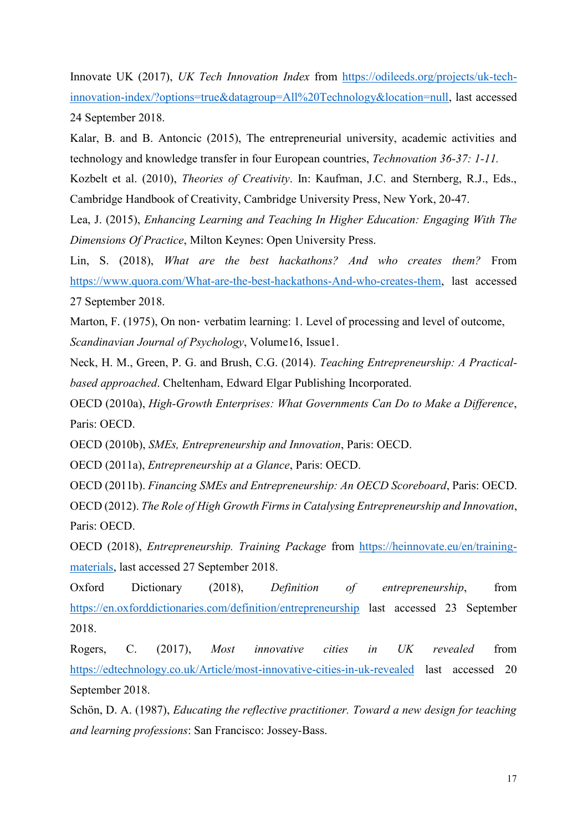Innovate UK (2017), *UK Tech Innovation Index* from [https://odileeds.org/projects/uk-tech](https://odileeds.org/projects/uk-tech-innovation-index/?options=true&datagroup=All%20Technology&location=null)[innovation-index/?options=true&datagroup=All%20Technology&location=null,](https://odileeds.org/projects/uk-tech-innovation-index/?options=true&datagroup=All%20Technology&location=null) last accessed 24 September 2018.

Kalar, B. and B. Antoncic (2015), The entrepreneurial university, academic activities and technology and knowledge transfer in four European countries, *Technovation 36-37: 1-11.*

Kozbelt et al. (2010), *Theories of Creativity*. In: Kaufman, J.C. and Sternberg, R.J., Eds., Cambridge Handbook of Creativity, Cambridge University Press, New York, 20-47.

Lea, J. (2015), *Enhancing Learning and Teaching In Higher Education: Engaging With The Dimensions Of Practice*, Milton Keynes: Open University Press.

Lin, S. (2018), *What are the best hackathons? And who creates them?* From [https://www.quora.com/What-are-the-best-hackathons-And-who-creates-them,](https://www.quora.com/What-are-the-best-hackathons-And-who-creates-them) last accessed 27 September 2018.

Marton, F. (1975), On non-verbatim learning: 1. Level of processing and level of outcome, *Scandinavian Journal of Psychology*, Volume16, Issue1.

Neck, H. M., Green, P. G. and Brush, C.G. (2014). *Teaching Entrepreneurship: A Practicalbased approached*. Cheltenham, Edward Elgar Publishing Incorporated.

OECD (2010a), *High-Growth Enterprises: What Governments Can Do to Make a Difference*, Paris: OECD.

OECD (2010b), *SMEs, Entrepreneurship and Innovation*, Paris: OECD.

OECD (2011a), *Entrepreneurship at a Glance*, Paris: OECD.

OECD (2011b). *Financing SMEs and Entrepreneurship: An OECD Scoreboard*, Paris: OECD.

OECD (2012). *The Role of High Growth Firmsin Catalysing Entrepreneurship and Innovation*, Paris: OECD.

OECD (2018), *Entrepreneurship. Training Package* from [https://heinnovate.eu/en/training](https://heinnovate.eu/en/training-materials)[materials,](https://heinnovate.eu/en/training-materials) last accessed 27 September 2018.

Oxford Dictionary (2018), *Definition of entrepreneurship*, from <https://en.oxforddictionaries.com/definition/entrepreneurship> last accessed 23 September 2018.

Rogers, C. (2017), *Most innovative cities in UK revealed* from <https://edtechnology.co.uk/Article/most-innovative-cities-in-uk-revealed> last accessed 20 September 2018.

Schön, D. A. (1987), *Educating the reflective practitioner. Toward a new design for teaching and learning professions*: San Francisco: Jossey-Bass.